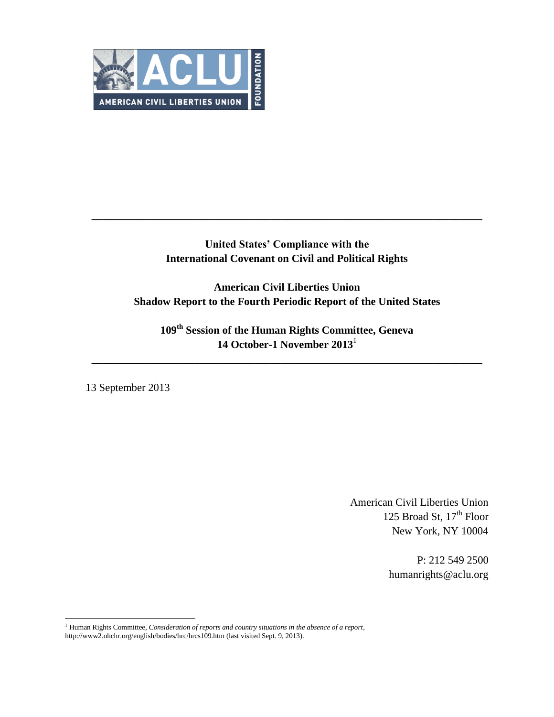

# **United States' Compliance with the International Covenant on Civil and Political Rights**

**\_\_\_\_\_\_\_\_\_\_\_\_\_\_\_\_\_\_\_\_\_\_\_\_\_\_\_\_\_\_\_\_\_\_\_\_\_\_\_\_\_\_\_\_\_\_\_\_\_\_\_\_\_\_\_\_\_\_\_\_\_\_\_\_\_\_\_\_\_\_\_\_**

**American Civil Liberties Union Shadow Report to the Fourth Periodic Report of the United States**

**109th Session of the Human Rights Committee, Geneva 14 October-1 November 2013**<sup>1</sup>

**\_\_\_\_\_\_\_\_\_\_\_\_\_\_\_\_\_\_\_\_\_\_\_\_\_\_\_\_\_\_\_\_\_\_\_\_\_\_\_\_\_\_\_\_\_\_\_\_\_\_\_\_\_\_\_\_\_\_\_\_\_\_\_\_\_\_\_\_\_\_\_\_**

13 September 2013

 $\overline{a}$ 

American Civil Liberties Union 125 Broad St,  $17<sup>th</sup>$  Floor New York, NY 10004

> P: 212 549 2500 humanrights@aclu.org

<sup>1</sup> Human Rights Committee, *Consideration of reports and country situations in the absence of a report*, http://www2.ohchr.org/english/bodies/hrc/hrcs109.htm (last visited Sept. 9, 2013).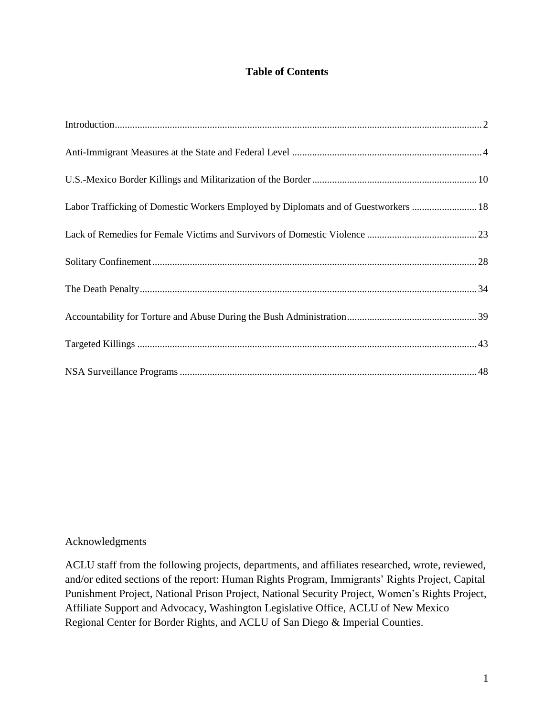# **Table of Contents**

| Labor Trafficking of Domestic Workers Employed by Diplomats and of Guestworkers  18 |  |
|-------------------------------------------------------------------------------------|--|
|                                                                                     |  |
|                                                                                     |  |
|                                                                                     |  |
|                                                                                     |  |
|                                                                                     |  |
|                                                                                     |  |

# Acknowledgments

ACLU staff from the following projects, departments, and affiliates researched, wrote, reviewed, and/or edited sections of the report: Human Rights Program, Immigrants' Rights Project, Capital Punishment Project, National Prison Project, National Security Project, Women's Rights Project, Affiliate Support and Advocacy, Washington Legislative Office, ACLU of New Mexico Regional Center for Border Rights, and ACLU of San Diego & Imperial Counties.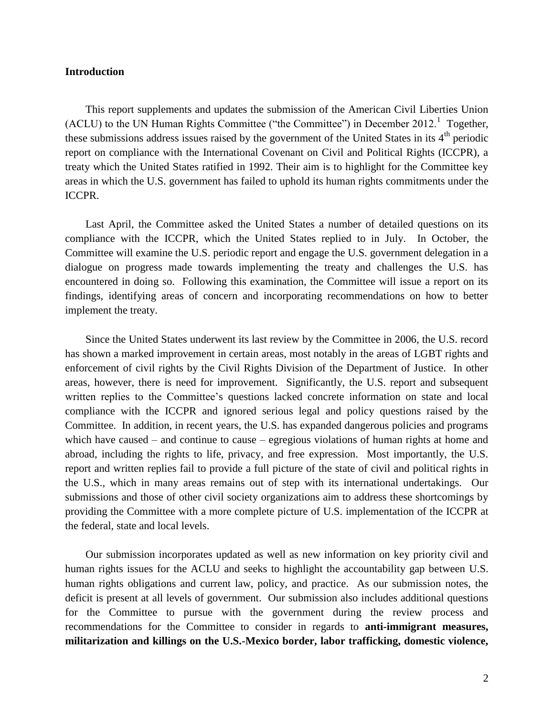### <span id="page-2-0"></span>**Introduction**

This report supplements and updates the submission of the American Civil Liberties Union  $(ACLU)$  to the UN Human Rights Committee ("the Committee") in December 2012.<sup>1</sup> Together, these submissions address issues raised by the government of the United States in its  $4<sup>th</sup>$  periodic report on compliance with the International Covenant on Civil and Political Rights (ICCPR), a treaty which the United States ratified in 1992. Their aim is to highlight for the Committee key areas in which the U.S. government has failed to uphold its human rights commitments under the ICCPR.

Last April, the Committee asked the United States a number of detailed questions on its compliance with the ICCPR, which the United States replied to in July. In October, the Committee will examine the U.S. periodic report and engage the U.S. government delegation in a dialogue on progress made towards implementing the treaty and challenges the U.S. has encountered in doing so. Following this examination, the Committee will issue a report on its findings, identifying areas of concern and incorporating recommendations on how to better implement the treaty.

Since the United States underwent its last review by the Committee in 2006, the U.S. record has shown a marked improvement in certain areas, most notably in the areas of LGBT rights and enforcement of civil rights by the Civil Rights Division of the Department of Justice. In other areas, however, there is need for improvement. Significantly, the U.S. report and subsequent written replies to the Committee's questions lacked concrete information on state and local compliance with the ICCPR and ignored serious legal and policy questions raised by the Committee. In addition, in recent years, the U.S. has expanded dangerous policies and programs which have caused – and continue to cause – egregious violations of human rights at home and abroad, including the rights to life, privacy, and free expression. Most importantly, the U.S. report and written replies fail to provide a full picture of the state of civil and political rights in the U.S., which in many areas remains out of step with its international undertakings. Our submissions and those of other civil society organizations aim to address these shortcomings by providing the Committee with a more complete picture of U.S. implementation of the ICCPR at the federal, state and local levels.

Our submission incorporates updated as well as new information on key priority civil and human rights issues for the ACLU and seeks to highlight the accountability gap between U.S. human rights obligations and current law, policy, and practice. As our submission notes, the deficit is present at all levels of government. Our submission also includes additional questions for the Committee to pursue with the government during the review process and recommendations for the Committee to consider in regards to **anti-immigrant measures, militarization and killings on the U.S.-Mexico border, labor trafficking, domestic violence,**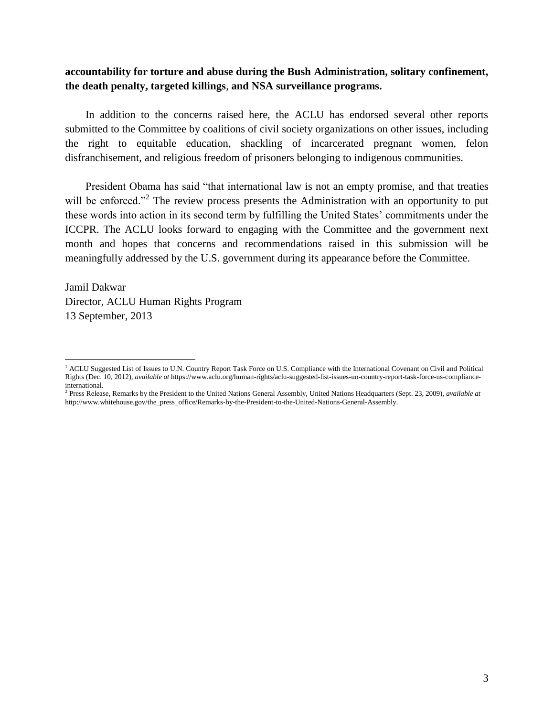# **accountability for torture and abuse during the Bush Administration, solitary confinement, the death penalty, targeted killings**, **and NSA surveillance programs.**

In addition to the concerns raised here, the ACLU has endorsed several other reports submitted to the Committee by coalitions of civil society organizations on other issues, including the right to equitable education, shackling of incarcerated pregnant women, felon disfranchisement, and religious freedom of prisoners belonging to indigenous communities.

President Obama has said "that international law is not an empty promise, and that treaties will be enforced."<sup>2</sup> The review process presents the Administration with an opportunity to put these words into action in its second term by fulfilling the United States' commitments under the ICCPR. The ACLU looks forward to engaging with the Committee and the government next month and hopes that concerns and recommendations raised in this submission will be meaningfully addressed by the U.S. government during its appearance before the Committee.

Jamil Dakwar Director, ACLU Human Rights Program 13 September, 2013

l

<sup>&</sup>lt;sup>1</sup> ACLU Suggested List of Issues to U.N. Country Report Task Force on U.S. Compliance with the International Covenant on Civil and Political Rights (Dec. 10, 2012), *available at* [https://www.aclu.org/human-rights/aclu-suggested-list-issues-un-country-report-task-force-us-compliance](https://www.aclu.org/human-rights/aclu-suggested-list-issues-un-country-report-task-force-us-compliance-international)[international.](https://www.aclu.org/human-rights/aclu-suggested-list-issues-un-country-report-task-force-us-compliance-international)

<sup>2</sup> Press Release, Remarks by the President to the United Nations General Assembly, United Nations Headquarters (Sept. 23, 2009), *available at*  [http://www.whitehouse.gov/the\\_press\\_office/Remarks-by-the-President-to-the-United-Nations-General-Assembly.](http://www.whitehouse.gov/the_press_office/Remarks-by-the-President-to-the-United-Nations-General-Assembly)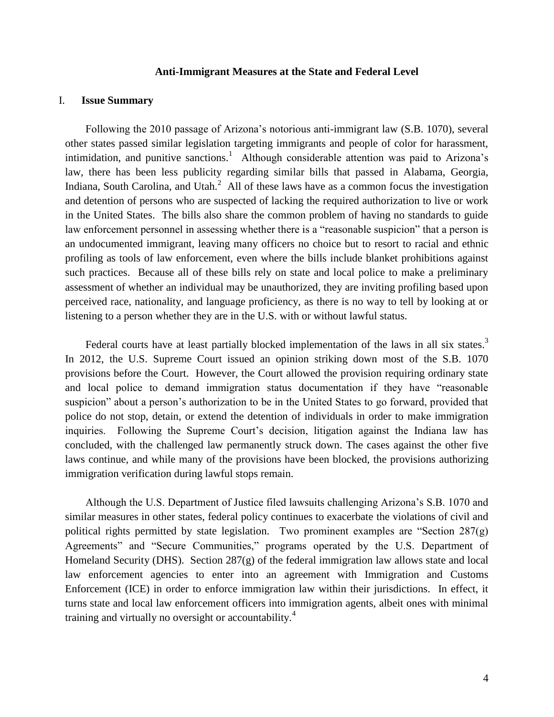#### **Anti-Immigrant Measures at the State and Federal Level**

### <span id="page-4-0"></span>I. **Issue Summary**

Following the 2010 passage of Arizona's notorious anti-immigrant law (S.B. 1070), several other states passed similar legislation targeting immigrants and people of color for harassment, intimidation, and punitive sanctions.<sup>1</sup> Although considerable attention was paid to Arizona's law, there has been less publicity regarding similar bills that passed in Alabama, Georgia, Indiana, South Carolina, and Utah. $2$  All of these laws have as a common focus the investigation and detention of persons who are suspected of lacking the required authorization to live or work in the United States. The bills also share the common problem of having no standards to guide law enforcement personnel in assessing whether there is a "reasonable suspicion" that a person is an undocumented immigrant, leaving many officers no choice but to resort to racial and ethnic profiling as tools of law enforcement, even where the bills include blanket prohibitions against such practices. Because all of these bills rely on state and local police to make a preliminary assessment of whether an individual may be unauthorized, they are inviting profiling based upon perceived race, nationality, and language proficiency, as there is no way to tell by looking at or listening to a person whether they are in the U.S. with or without lawful status.

Federal courts have at least partially blocked implementation of the laws in all six states.<sup>3</sup> In 2012, the U.S. Supreme Court issued an opinion striking down most of the S.B. 1070 provisions before the Court. However, the Court allowed the provision requiring ordinary state and local police to demand immigration status documentation if they have "reasonable suspicion" about a person's authorization to be in the United States to go forward, provided that police do not stop, detain, or extend the detention of individuals in order to make immigration inquiries. Following the Supreme Court's decision, litigation against the Indiana law has concluded, with the challenged law permanently struck down. The cases against the other five laws continue, and while many of the provisions have been blocked, the provisions authorizing immigration verification during lawful stops remain.

Although the U.S. Department of Justice filed lawsuits challenging Arizona's S.B. 1070 and similar measures in other states, federal policy continues to exacerbate the violations of civil and political rights permitted by state legislation. Two prominent examples are "Section  $287(g)$ Agreements" and "Secure Communities," programs operated by the U.S. Department of Homeland Security (DHS). Section  $287(g)$  of the federal immigration law allows state and local law enforcement agencies to enter into an agreement with Immigration and Customs Enforcement (ICE) in order to enforce immigration law within their jurisdictions. In effect, it turns state and local law enforcement officers into immigration agents, albeit ones with minimal training and virtually no oversight or accountability.<sup>4</sup>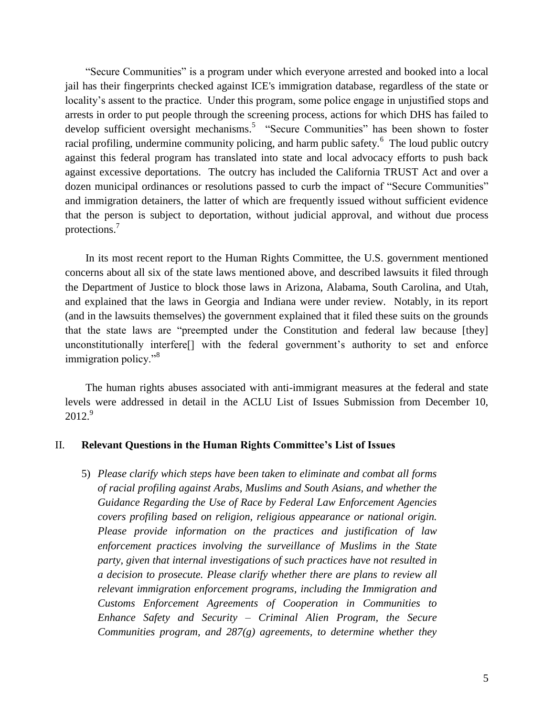"Secure Communities" is a program under which everyone arrested and booked into a local jail has their fingerprints checked against ICE's immigration database, regardless of the state or locality's assent to the practice. Under this program, some police engage in unjustified stops and arrests in order to put people through the screening process, actions for which DHS has failed to develop sufficient oversight mechanisms.<sup>5</sup> "Secure Communities" has been shown to foster racial profiling, undermine community policing, and harm public safety.<sup>6</sup> The loud public outcry against this federal program has translated into state and local advocacy efforts to push back against excessive deportations. The outcry has included the California TRUST Act and over a dozen municipal ordinances or resolutions passed to curb the impact of "Secure Communities" and immigration detainers, the latter of which are frequently issued without sufficient evidence that the person is subject to deportation, without judicial approval, and without due process protections.<sup>7</sup>

In its most recent report to the Human Rights Committee, the U.S. government mentioned concerns about all six of the state laws mentioned above, and described lawsuits it filed through the Department of Justice to block those laws in Arizona, Alabama, South Carolina, and Utah, and explained that the laws in Georgia and Indiana were under review. Notably, in its report (and in the lawsuits themselves) the government explained that it filed these suits on the grounds that the state laws are "preempted under the Constitution and federal law because [they] unconstitutionally interfere[] with the federal government's authority to set and enforce immigration policy."<sup>8</sup>

The human rights abuses associated with anti-immigrant measures at the federal and state levels were addressed in detail in the ACLU List of Issues Submission from December 10,  $2012.<sup>9</sup>$ 

### II. **Relevant Questions in the Human Rights Committee's List of Issues**

5) *Please clarify which steps have been taken to eliminate and combat all forms of racial profiling against Arabs, Muslims and South Asians, and whether the Guidance Regarding the Use of Race by Federal Law Enforcement Agencies covers profiling based on religion, religious appearance or national origin. Please provide information on the practices and justification of law enforcement practices involving the surveillance of Muslims in the State party, given that internal investigations of such practices have not resulted in a decision to prosecute. Please clarify whether there are plans to review all relevant immigration enforcement programs, including the Immigration and Customs Enforcement Agreements of Cooperation in Communities to Enhance Safety and Security – Criminal Alien Program, the Secure Communities program, and 287(g) agreements, to determine whether they*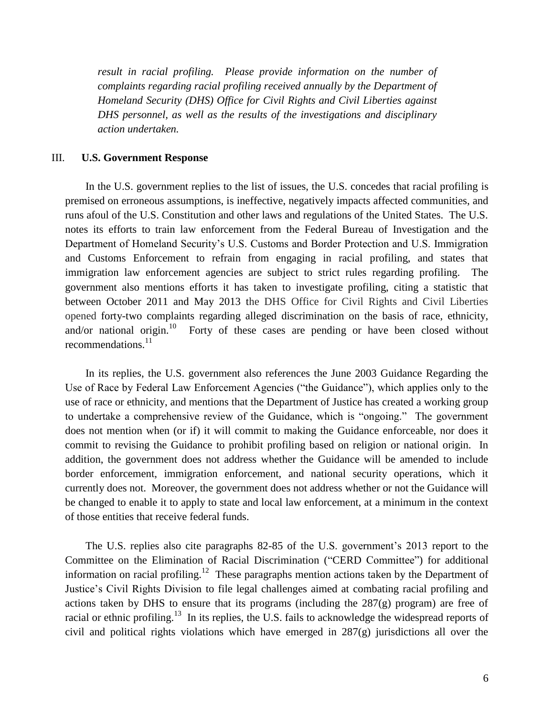*result in racial profiling. Please provide information on the number of complaints regarding racial profiling received annually by the Department of Homeland Security (DHS) Office for Civil Rights and Civil Liberties against DHS personnel, as well as the results of the investigations and disciplinary action undertaken.*

#### III. **U.S. Government Response**

In the U.S. government replies to the list of issues, the U.S. concedes that racial profiling is premised on erroneous assumptions, is ineffective, negatively impacts affected communities, and runs afoul of the U.S. Constitution and other laws and regulations of the United States. The U.S. notes its efforts to train law enforcement from the Federal Bureau of Investigation and the Department of Homeland Security's U.S. Customs and Border Protection and U.S. Immigration and Customs Enforcement to refrain from engaging in racial profiling, and states that immigration law enforcement agencies are subject to strict rules regarding profiling. The government also mentions efforts it has taken to investigate profiling, citing a statistic that between October 2011 and May 2013 the DHS Office for Civil Rights and Civil Liberties opened forty-two complaints regarding alleged discrimination on the basis of race, ethnicity, and/or national origin.<sup>10</sup> Forty of these cases are pending or have been closed without recommendations.<sup>11</sup>

In its replies, the U.S. government also references the June 2003 Guidance Regarding the Use of Race by Federal Law Enforcement Agencies ("the Guidance"), which applies only to the use of race or ethnicity, and mentions that the Department of Justice has created a working group to undertake a comprehensive review of the Guidance, which is "ongoing." The government does not mention when (or if) it will commit to making the Guidance enforceable, nor does it commit to revising the Guidance to prohibit profiling based on religion or national origin. In addition, the government does not address whether the Guidance will be amended to include border enforcement, immigration enforcement, and national security operations, which it currently does not. Moreover, the government does not address whether or not the Guidance will be changed to enable it to apply to state and local law enforcement, at a minimum in the context of those entities that receive federal funds.

The U.S. replies also cite paragraphs 82-85 of the U.S. government's 2013 report to the Committee on the Elimination of Racial Discrimination ("CERD Committee") for additional information on racial profiling.<sup>12</sup> These paragraphs mention actions taken by the Department of Justice's Civil Rights Division to file legal challenges aimed at combating racial profiling and actions taken by DHS to ensure that its programs (including the  $287(g)$  program) are free of racial or ethnic profiling.<sup>13</sup> In its replies, the U.S. fails to acknowledge the widespread reports of civil and political rights violations which have emerged in 287(g) jurisdictions all over the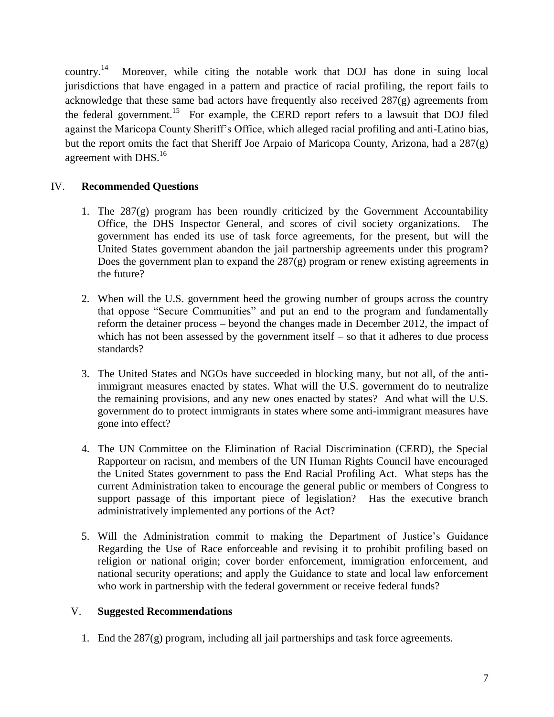country.<sup>14</sup> Moreover, while citing the notable work that DOJ has done in suing local jurisdictions that have engaged in a pattern and practice of racial profiling, the report fails to acknowledge that these same bad actors have frequently also received 287(g) agreements from the federal government.<sup>15</sup> For example, the CERD report refers to a lawsuit that DOJ filed against the Maricopa County Sheriff's Office, which alleged racial profiling and anti-Latino bias, but the report omits the fact that Sheriff Joe Arpaio of Maricopa County, Arizona, had a 287(g) agreement with  $DHS<sup>16</sup>$ 

# IV. **Recommended Questions**

- 1. The 287(g) program has been roundly criticized by the Government Accountability Office, the DHS Inspector General, and scores of civil society organizations. The government has ended its use of task force agreements, for the present, but will the United States government abandon the jail partnership agreements under this program? Does the government plan to expand the 287(g) program or renew existing agreements in the future?
- 2. When will the U.S. government heed the growing number of groups across the country that oppose "Secure Communities" and put an end to the program and fundamentally reform the detainer process – beyond the changes made in December 2012, the impact of which has not been assessed by the government itself  $-$  so that it adheres to due process standards?
- 3. The United States and NGOs have succeeded in blocking many, but not all, of the antiimmigrant measures enacted by states. What will the U.S. government do to neutralize the remaining provisions, and any new ones enacted by states? And what will the U.S. government do to protect immigrants in states where some anti-immigrant measures have gone into effect?
- 4. The UN Committee on the Elimination of Racial Discrimination (CERD), the Special Rapporteur on racism, and members of the UN Human Rights Council have encouraged the United States government to pass the End Racial Profiling Act. What steps has the current Administration taken to encourage the general public or members of Congress to support passage of this important piece of legislation? Has the executive branch administratively implemented any portions of the Act?
- 5. Will the Administration commit to making the Department of Justice's Guidance Regarding the Use of Race enforceable and revising it to prohibit profiling based on religion or national origin; cover border enforcement, immigration enforcement, and national security operations; and apply the Guidance to state and local law enforcement who work in partnership with the federal government or receive federal funds?

# V. **Suggested Recommendations**

1. End the 287(g) program, including all jail partnerships and task force agreements.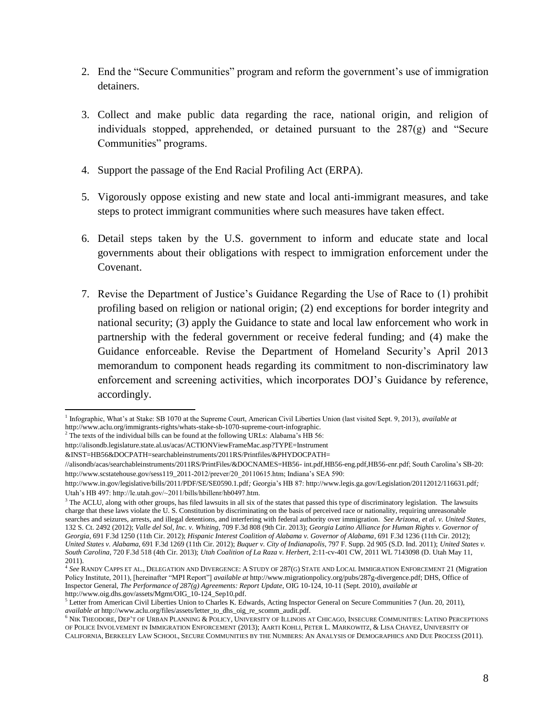- 2. End the "Secure Communities" program and reform the government's use of immigration detainers.
- 3. Collect and make public data regarding the race, national origin, and religion of individuals stopped, apprehended, or detained pursuant to the 287(g) and "Secure Communities" programs.
- 4. Support the passage of the End Racial Profiling Act (ERPA).
- 5. Vigorously oppose existing and new state and local anti-immigrant measures, and take steps to protect immigrant communities where such measures have taken effect.
- 6. Detail steps taken by the U.S. government to inform and educate state and local governments about their obligations with respect to immigration enforcement under the Covenant.
- 7. Revise the Department of Justice's Guidance Regarding the Use of Race to (1) prohibit profiling based on religion or national origin; (2) end exceptions for border integrity and national security; (3) apply the Guidance to state and local law enforcement who work in partnership with the federal government or receive federal funding; and (4) make the Guidance enforceable. Revise the Department of Homeland Security's April 2013 memorandum to component heads regarding its commitment to non-discriminatory law enforcement and screening activities, which incorporates DOJ's Guidance by reference, accordingly.

 $\overline{\phantom{a}}$ <sup>1</sup> Infographic, What's at Stake: SB 1070 at the Supreme Court, American Civil Liberties Union (last visited Sept. 9, 2013), *available at* [http://www.aclu.org/immigrants-rights/whats-stake-sb-1070-supreme-court-infographic.](http://www.aclu.org/immigrants-rights/whats-stake-sb-1070-supreme-court-infographic) 

 $2^2$  The texts of the individual bills can be found at the following URLs: Alabama's HB 56:

http://alisondb.legislature.state.al.us/acas/ACTIONViewFrameMac.asp?TYPE=Instrument

<sup>&</sup>amp;INST=HB56&DOCPATH=searchableinstruments/2011RS/Printfiles/&PHYDOCPATH=

<sup>//</sup>alisondb/acas/searchableinstruments/2011RS/PrintFiles/&DOCNAMES=HB56- int.pdf,HB56-eng.pdf,HB56-enr.pdf; South Carolina's SB-20: http://www.scstatehouse.gov/sess119\_2011-2012/prever/20\_20110615.htm; Indiana's SEA 590:

http://www.in.gov/legislative/bills/2011/PDF/SE/SE0590.1.pdf*;* Georgia's HB 87[: http://www.legis.ga.gov/Legislation/20112012/116631.pdf](http://www.legis.ga.gov/Legislation/20112012/116631.pdf)*;*  Utah's HB 497: http://le.utah.gov/~2011/bills/hbillenr/hb0497.htm.

 $3$  The ACLU, along with other groups, has filed lawsuits in all six of the states that passed this type of discriminatory legislation. The lawsuits charge that these laws violate the U. S. Constitution by discriminating on the basis of perceived race or nationality, requiring unreasonable searches and seizures, arrests, and illegal detentions, and interfering with federal authority over immigration. *See Arizona, et al. v. United States*, 132 S. Ct. 2492 (2012); *Valle del Sol, Inc. v. Whiting*, 709 F.3d 808 (9th Cir. 2013); *Georgia Latino Alliance for Human Rights v. Governor of Georgia*, 691 F.3d 1250 (11th Cir. 2012); *Hispanic Interest Coalition of Alabama v. Governor of Alabama*, 691 F.3d 1236 (11th Cir. 2012); *United States v. Alabama*, 691 F.3d 1269 (11th Cir. 2012); *Buquer v. City of Indianapolis*, 797 F. Supp. 2d 905 (S.D. Ind. 2011); *United States v. South Carolina*, 720 F.3d 518 (4th Cir. 2013); *Utah Coalition of La Raza v. Herbert*, 2:11-cv-401 CW, 2011 WL 7143098 (D. Utah May 11,

<sup>2011).</sup> 4 *See* RANDY CAPPS ET AL., DELEGATION AND DIVERGENCE: A STUDY OF 287(G) STATE AND LOCAL IMMIGRATION ENFORCEMENT 21 (Migration Policy Institute, 2011), [hereinafter "MPI Report"] *available at* http://www.migrationpolicy.org/pubs/287g-divergence.pdf; DHS, Office of Inspector General, *The Performance of 287(g) Agreements: Report Update*, OIG 10-124, 10-11 (Sept. 2010), *available at*  http://www.oig.dhs.gov/assets/Mgmt/OIG\_10-124\_Sep10.pdf.

 $5$  Letter from American Civil Liberties Union to Charles K. Edwards, Acting Inspector General on Secure Communities 7 (Jun. 20, 2011), *available at* http://www.aclu.org/files/assets/letter\_to\_dhs\_oig\_re\_scomm\_audit.pdf.

<sup>6</sup> NIK THEODORE, DEP'T OF URBAN PLANNING & POLICY, UNIVERSITY OF ILLINOIS AT CHICAGO, INSECURE COMMUNITIES: LATINO PERCEPTIONS OF POLICE INVOLVEMENT IN IMMIGRATION ENFORCEMENT (2013); AARTI KOHLI, PETER L. MARKOWITZ, & LISA CHAVEZ, UNIVERSITY OF CALIFORNIA, BERKELEY LAW SCHOOL, SECURE COMMUNITIES BY THE NUMBERS: AN ANALYSIS OF DEMOGRAPHICS AND DUE PROCESS (2011).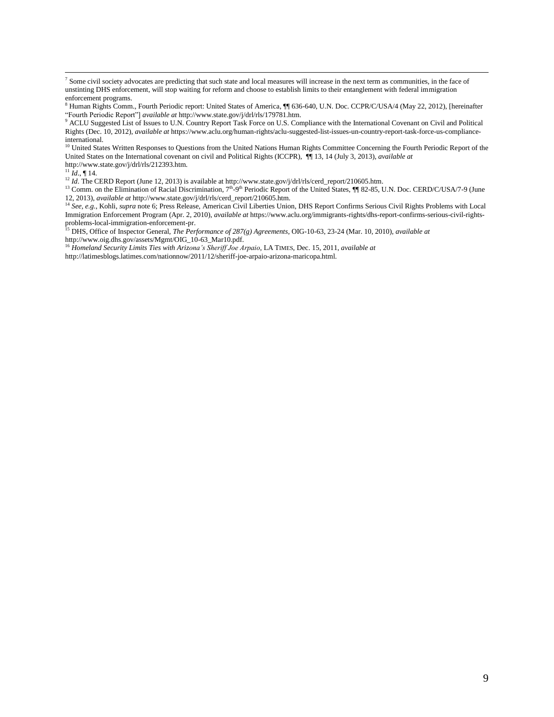<sup>7</sup> Some civil society advocates are predicting that such state and local measures will increase in the next term as communities, in the face of unstinting DHS enforcement, will stop waiting for reform and choose to establish limits to their entanglement with federal immigration enforcement programs.

<sup>10</sup> United States Written Responses to Questions from the United Nations Human Rights Committee Concerning the Fourth Periodic Report of the United States on the International covenant on civil and Political Rights (ICCPR), ¶¶ 13, 14 (July 3, 2013), *available at* http://www.state.gov/j/drl/rls/212393.htm.

 $^{11}$ *Id.*, ¶ 14.

<sup>12</sup> *Id*. The CERD Report (June 12, 2013) is available a[t http://www.state.gov/j/drl/rls/cerd\\_report/210605.htm.](http://www.state.gov/j/drl/rls/cerd_report/210605.htm)

<sup>13</sup> Comm. on the Elimination of Racial Discrimination,  $7<sup>th</sup>$ -9<sup>th</sup> Periodic Report of the United States,  $\Pi$  82-85, U.N. Doc. CERD/C/USA/7-9 (June 12, 2013), *available at* http://www.state.gov/j/drl/rls/cerd\_report/210605.htm.

<sup>14</sup> See, e.g., Kohli, *supra* note 6; Press Release, American Civil Liberties Union, DHS Report Confirms Serious Civil Rights Problems with Local Immigration Enforcement Program (Apr. 2, 2010), *available at* [https://www.aclu.org/immigrants-rights/dhs-report-confirms-serious-civil-rights](https://www.aclu.org/immigrants-rights/dhs-report-confirms-serious-civil-rights-problems-local-immigration-enforcement-pr)[problems-local-immigration-enforcement-pr.](https://www.aclu.org/immigrants-rights/dhs-report-confirms-serious-civil-rights-problems-local-immigration-enforcement-pr)

<sup>15</sup> DHS, Office of Inspector General, *The Performance of 287(g) Agreements*, OIG-10-63, 23-24 (Mar. 10, 2010), *available at* http://www.oig.dhs.gov/assets/Mgmt/OIG\_10-63\_Mar10.pdf.

<sup>16</sup> *Homeland Security Limits Ties with Arizona's Sheriff Joe Arpaio*, LA TIMES, Dec. 15, 2011, *available at* 

[http://latimesblogs.latimes.com/nationnow/2011/12/sheriff-joe-arpaio-arizona-maricopa.html.](http://latimesblogs.latimes.com/nationnow/2011/12/sheriff-joe-arpaio-arizona-maricopa.html)

<sup>8</sup> Human Rights Comm., Fourth Periodic report: United States of America, ¶¶ 636-640, U.N. Doc. CCPR/C/USA/4 (May 22, 2012), [hereinafter "Fourth Periodic Report"] *available at* [http://www.state.gov/j/drl/rls/179781.htm.](http://www.state.gov/j/drl/rls/179781.htm)

<sup>9</sup> ACLU Suggested List of Issues to U.N. Country Report Task Force on U.S. Compliance with the International Covenant on Civil and Political Rights (Dec. 10, 2012), *available at* [https://www.aclu.org/human-rights/aclu-suggested-list-issues-un-country-report-task-force-us-compliance](https://www.aclu.org/human-rights/aclu-suggested-list-issues-un-country-report-task-force-us-compliance-international)[international.](https://www.aclu.org/human-rights/aclu-suggested-list-issues-un-country-report-task-force-us-compliance-international)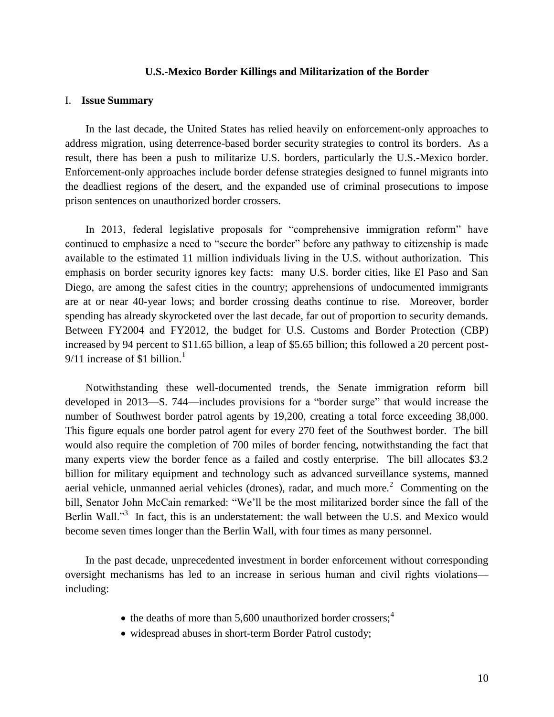#### **U.S.-Mexico Border Killings and Militarization of the Border**

#### <span id="page-10-0"></span>I. **Issue Summary**

In the last decade, the United States has relied heavily on enforcement-only approaches to address migration, using deterrence-based border security strategies to control its borders. As a result, there has been a push to militarize U.S. borders, particularly the U.S.-Mexico border. Enforcement-only approaches include border defense strategies designed to funnel migrants into the deadliest regions of the desert, and the expanded use of criminal prosecutions to impose prison sentences on unauthorized border crossers.

In 2013, federal legislative proposals for "comprehensive immigration reform" have continued to emphasize a need to "secure the border" before any pathway to citizenship is made available to the estimated 11 million individuals living in the U.S. without authorization. This emphasis on border security ignores key facts: many U.S. border cities, like El Paso and San Diego, are among the safest cities in the country; apprehensions of undocumented immigrants are at or near 40-year lows; and border crossing deaths continue to rise. Moreover, border spending has already skyrocketed over the last decade, far out of proportion to security demands. Between FY2004 and FY2012, the budget for U.S. Customs and Border Protection (CBP) increased by 94 percent to \$11.65 billion, a leap of \$5.65 billion; this followed a 20 percent post-9/11 increase of \$1 billion.<sup>1</sup>

Notwithstanding these well-documented trends, the Senate immigration reform bill developed in 2013—S. 744—includes provisions for a "border surge" that would increase the number of Southwest border patrol agents by 19,200, creating a total force exceeding 38,000. This figure equals one border patrol agent for every 270 feet of the Southwest border. The bill would also require the completion of 700 miles of border fencing, notwithstanding the fact that many experts view the border fence as a failed and costly enterprise. The bill allocates \$3.2 billion for military equipment and technology such as advanced surveillance systems, manned aerial vehicle, unmanned aerial vehicles (drones), radar, and much more.<sup>2</sup> Commenting on the bill, Senator John McCain remarked: "We'll be the most militarized border since the fall of the Berlin Wall."<sup>3</sup> In fact, this is an understatement: the wall between the U.S. and Mexico would become seven times longer than the Berlin Wall, with four times as many personnel.

In the past decade, unprecedented investment in border enforcement without corresponding oversight mechanisms has led to an increase in serious human and civil rights violations including:

- $\bullet$  the deaths of more than 5,600 unauthorized border crossers;<sup>4</sup>
- widespread abuses in short-term Border Patrol custody: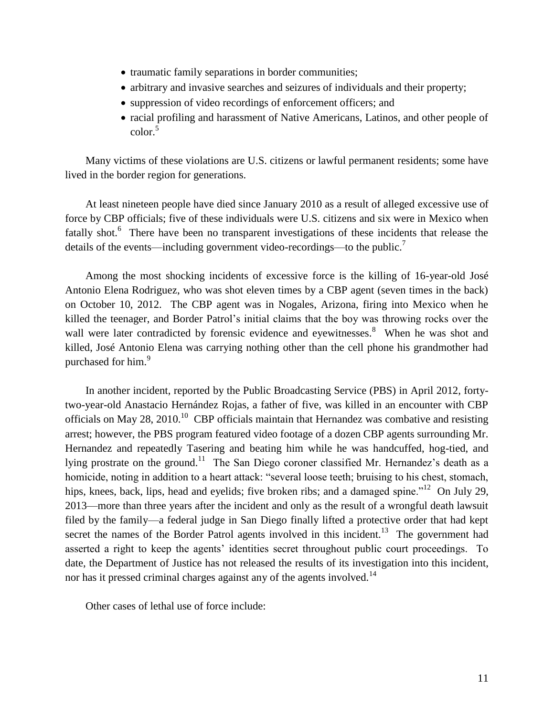- traumatic family separations in border communities;
- arbitrary and invasive searches and seizures of individuals and their property;
- suppression of video recordings of enforcement officers; and
- racial profiling and harassment of Native Americans, Latinos, and other people of  $\text{color}^5$

Many victims of these violations are U.S. citizens or lawful permanent residents; some have lived in the border region for generations.

At least nineteen people have died since January 2010 as a result of alleged excessive use of force by CBP officials; five of these individuals were U.S. citizens and six were in Mexico when fatally shot.<sup>6</sup> There have been no transparent investigations of these incidents that release the details of the events—including government video-recordings—to the public.<sup>7</sup>

Among the most shocking incidents of excessive force is the killing of 16-year-old José Antonio Elena Rodriguez, who was shot eleven times by a CBP agent (seven times in the back) on October 10, 2012. The CBP agent was in Nogales, Arizona, firing into Mexico when he killed the teenager, and Border Patrol's initial claims that the boy was throwing rocks over the wall were later contradicted by forensic evidence and eyewitnesses.<sup>8</sup> When he was shot and killed, José Antonio Elena was carrying nothing other than the cell phone his grandmother had purchased for him.<sup>9</sup>

In another incident, reported by the Public Broadcasting Service (PBS) in April 2012, fortytwo-year-old Anastacio Hernández Rojas, a father of five, was killed in an encounter with CBP officials on May 28, 2010.<sup>10</sup> CBP officials maintain that Hernandez was combative and resisting arrest; however, the PBS program featured video footage of a dozen CBP agents surrounding Mr. Hernandez and repeatedly Tasering and beating him while he was handcuffed, hog-tied, and lying prostrate on the ground.<sup>11</sup> The San Diego coroner classified Mr. Hernandez's death as a homicide, noting in addition to a heart attack: "several loose teeth; bruising to his chest, stomach, hips, knees, back, lips, head and eyelids; five broken ribs; and a damaged spine."<sup>12</sup> On July 29, 2013—more than three years after the incident and only as the result of a wrongful death lawsuit filed by the family—a federal judge in San Diego finally lifted a protective order that had kept secret the names of the Border Patrol agents involved in this incident.<sup>13</sup> The government had asserted a right to keep the agents' identities secret throughout public court proceedings. To date, the Department of Justice has not released the results of its investigation into this incident, nor has it pressed criminal charges against any of the agents involved.<sup>14</sup>

Other cases of lethal use of force include: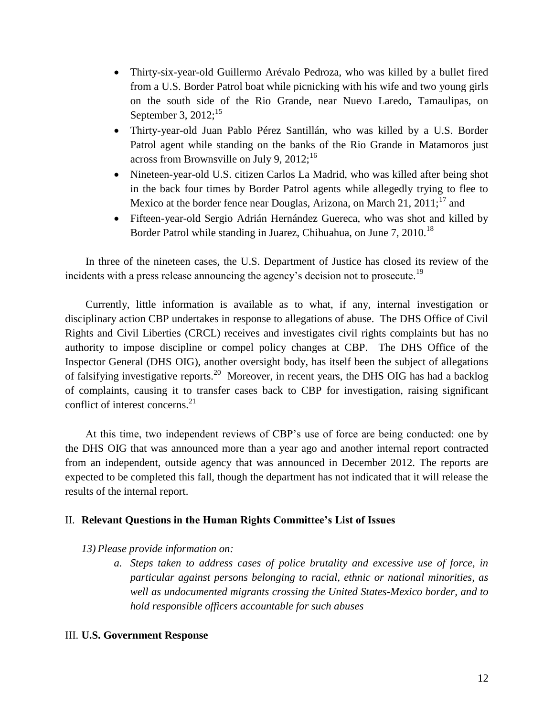- Thirty-six-year-old Guillermo Arévalo Pedroza, who was killed by a bullet fired from a U.S. Border Patrol boat while picnicking with his wife and two young girls on the south side of the Rio Grande, near Nuevo Laredo, Tamaulipas, on September 3,  $2012$ ;<sup>15</sup>
- Thirty-year-old Juan Pablo Pérez Santillán, who was killed by a U.S. Border Patrol agent while standing on the banks of the Rio Grande in Matamoros just across from Brownsville on July 9,  $2012$ ;<sup>16</sup>
- Nineteen-year-old U.S. citizen Carlos La Madrid, who was killed after being shot in the back four times by Border Patrol agents while allegedly trying to flee to Mexico at the border fence near Douglas, Arizona, on March 21,  $2011$ ;<sup>17</sup> and
- Fifteen-year-old Sergio Adrián Hernández Guereca, who was shot and killed by Border Patrol while standing in Juarez, Chihuahua, on June 7, 2010.<sup>18</sup>

In three of the nineteen cases, the U.S. Department of Justice has closed its review of the incidents with a press release announcing the agency's decision not to prosecute.<sup>19</sup>

Currently, little information is available as to what, if any, internal investigation or disciplinary action CBP undertakes in response to allegations of abuse. The DHS Office of Civil Rights and Civil Liberties (CRCL) receives and investigates civil rights complaints but has no authority to impose discipline or compel policy changes at CBP. The DHS Office of the Inspector General (DHS OIG), another oversight body, has itself been the subject of allegations of falsifying investigative reports.<sup>20</sup> Moreover, in recent years, the DHS OIG has had a backlog of complaints, causing it to transfer cases back to CBP for investigation, raising significant conflict of interest concerns.<sup>21</sup>

At this time, two independent reviews of CBP's use of force are being conducted: one by the DHS OIG that was announced more than a year ago and another internal report contracted from an independent, outside agency that was announced in December 2012. The reports are expected to be completed this fall, though the department has not indicated that it will release the results of the internal report.

# II. **Relevant Questions in the Human Rights Committee's List of Issues**

## *13) Please provide information on:*

*a. Steps taken to address cases of police brutality and excessive use of force, in particular against persons belonging to racial, ethnic or national minorities, as well as undocumented migrants crossing the United States-Mexico border, and to hold responsible officers accountable for such abuses*

## III. **U.S. Government Response**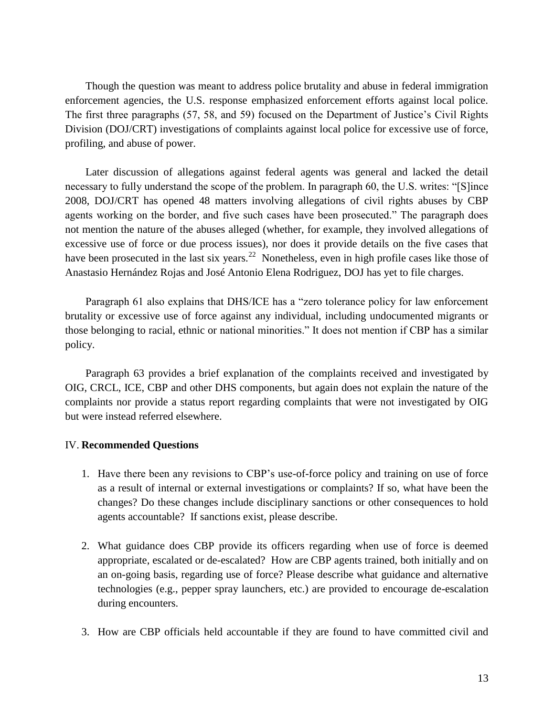Though the question was meant to address police brutality and abuse in federal immigration enforcement agencies, the U.S. response emphasized enforcement efforts against local police. The first three paragraphs (57, 58, and 59) focused on the Department of Justice's Civil Rights Division (DOJ/CRT) investigations of complaints against local police for excessive use of force, profiling, and abuse of power.

Later discussion of allegations against federal agents was general and lacked the detail necessary to fully understand the scope of the problem. In paragraph 60, the U.S. writes: "[S]ince 2008, DOJ/CRT has opened 48 matters involving allegations of civil rights abuses by CBP agents working on the border, and five such cases have been prosecuted." The paragraph does not mention the nature of the abuses alleged (whether, for example, they involved allegations of excessive use of force or due process issues), nor does it provide details on the five cases that have been prosecuted in the last six years.<sup>22</sup> Nonetheless, even in high profile cases like those of Anastasio Hernández Rojas and José Antonio Elena Rodriguez, DOJ has yet to file charges.

Paragraph 61 also explains that DHS/ICE has a "zero tolerance policy for law enforcement brutality or excessive use of force against any individual, including undocumented migrants or those belonging to racial, ethnic or national minorities." It does not mention if CBP has a similar policy.

Paragraph 63 provides a brief explanation of the complaints received and investigated by OIG, CRCL, ICE, CBP and other DHS components, but again does not explain the nature of the complaints nor provide a status report regarding complaints that were not investigated by OIG but were instead referred elsewhere.

### IV. **Recommended Questions**

- 1. Have there been any revisions to CBP's use-of-force policy and training on use of force as a result of internal or external investigations or complaints? If so, what have been the changes? Do these changes include disciplinary sanctions or other consequences to hold agents accountable? If sanctions exist, please describe.
- 2. What guidance does CBP provide its officers regarding when use of force is deemed appropriate, escalated or de-escalated? How are CBP agents trained, both initially and on an on-going basis, regarding use of force? Please describe what guidance and alternative technologies (e.g., pepper spray launchers, etc.) are provided to encourage de-escalation during encounters.
- 3. How are CBP officials held accountable if they are found to have committed civil and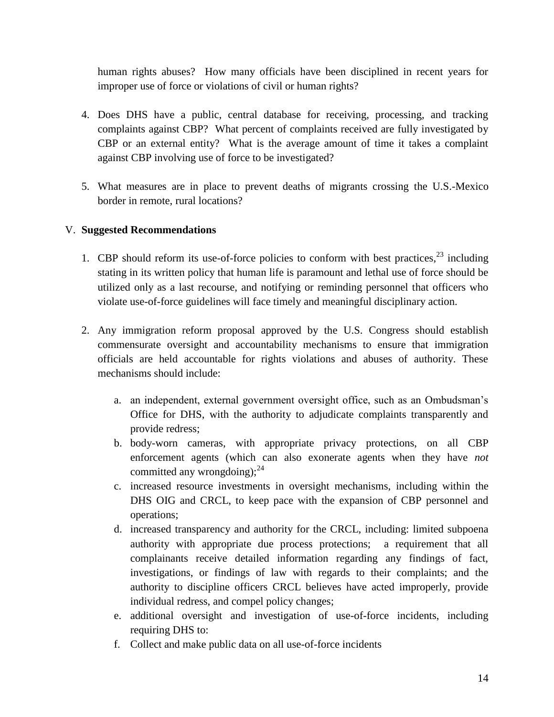human rights abuses? How many officials have been disciplined in recent years for improper use of force or violations of civil or human rights?

- 4. Does DHS have a public, central database for receiving, processing, and tracking complaints against CBP? What percent of complaints received are fully investigated by CBP or an external entity? What is the average amount of time it takes a complaint against CBP involving use of force to be investigated?
- 5. What measures are in place to prevent deaths of migrants crossing the U.S.-Mexico border in remote, rural locations?

# V. **Suggested Recommendations**

- 1. CBP should reform its use-of-force policies to conform with best practices, $^{23}$  including stating in its written policy that human life is paramount and lethal use of force should be utilized only as a last recourse, and notifying or reminding personnel that officers who violate use-of-force guidelines will face timely and meaningful disciplinary action.
- 2. Any immigration reform proposal approved by the U.S. Congress should establish commensurate oversight and accountability mechanisms to ensure that immigration officials are held accountable for rights violations and abuses of authority. These mechanisms should include:
	- a. an independent, external government oversight office, such as an Ombudsman's Office for DHS, with the authority to adjudicate complaints transparently and provide redress;
	- b. body-worn cameras, with appropriate privacy protections, on all CBP enforcement agents (which can also exonerate agents when they have *not* committed any wrongdoing):  $24$
	- c. increased resource investments in oversight mechanisms, including within the DHS OIG and CRCL, to keep pace with the expansion of CBP personnel and operations;
	- d. increased transparency and authority for the CRCL, including: limited subpoena authority with appropriate due process protections; a requirement that all complainants receive detailed information regarding any findings of fact, investigations, or findings of law with regards to their complaints; and the authority to discipline officers CRCL believes have acted improperly, provide individual redress, and compel policy changes;
	- e. additional oversight and investigation of use-of-force incidents, including requiring DHS to:
	- f. Collect and make public data on all use-of-force incidents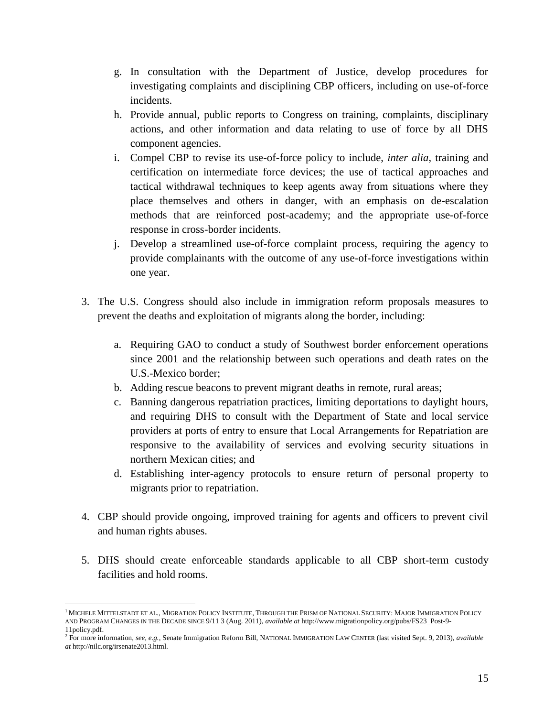- g. In consultation with the Department of Justice, develop procedures for investigating complaints and disciplining CBP officers, including on use-of-force incidents.
- h. Provide annual, public reports to Congress on training, complaints, disciplinary actions, and other information and data relating to use of force by all DHS component agencies.
- i. Compel CBP to revise its use-of-force policy to include, *inter alia*, training and certification on intermediate force devices; the use of tactical approaches and tactical withdrawal techniques to keep agents away from situations where they place themselves and others in danger, with an emphasis on de-escalation methods that are reinforced post-academy; and the appropriate use-of-force response in cross-border incidents.
- j. Develop a streamlined use-of-force complaint process, requiring the agency to provide complainants with the outcome of any use-of-force investigations within one year.
- 3. The U.S. Congress should also include in immigration reform proposals measures to prevent the deaths and exploitation of migrants along the border, including:
	- a. Requiring GAO to conduct a study of Southwest border enforcement operations since 2001 and the relationship between such operations and death rates on the U.S.-Mexico border;
	- b. Adding rescue beacons to prevent migrant deaths in remote, rural areas;
	- c. Banning dangerous repatriation practices, limiting deportations to daylight hours, and requiring DHS to consult with the Department of State and local service providers at ports of entry to ensure that Local Arrangements for Repatriation are responsive to the availability of services and evolving security situations in northern Mexican cities; and
	- d. Establishing inter-agency protocols to ensure return of personal property to migrants prior to repatriation.
- 4. CBP should provide ongoing, improved training for agents and officers to prevent civil and human rights abuses.
- 5. DHS should create enforceable standards applicable to all CBP short-term custody facilities and hold rooms.

 $\overline{\phantom{a}}$ 

<sup>&</sup>lt;sup>1</sup> MICHELE MITTELSTADT ET AL., MIGRATION POLICY INSTITUTE, THROUGH THE PRISM OF NATIONAL SECURITY: MAJOR IMMIGRATION POLICY AND PROGRAM CHANGES IN THE DECADE SINCE 9/11 3 (Aug. 2011), *available at* [http://www.migrationpolicy.org/pubs/FS23\\_Post-9-](http://www.migrationpolicy.org/pubs/FS23_Post-9-11policy.pdf) [11policy.pdf.](http://www.migrationpolicy.org/pubs/FS23_Post-9-11policy.pdf) 

<sup>2</sup> For more information, *see, e.g.*, Senate Immigration Reform Bill, NATIONAL IMMIGRATION LAW CENTER (last visited Sept. 9, 2013), *available at* [http://nilc.org/irsenate2013.html.](http://nilc.org/irsenate2013.html)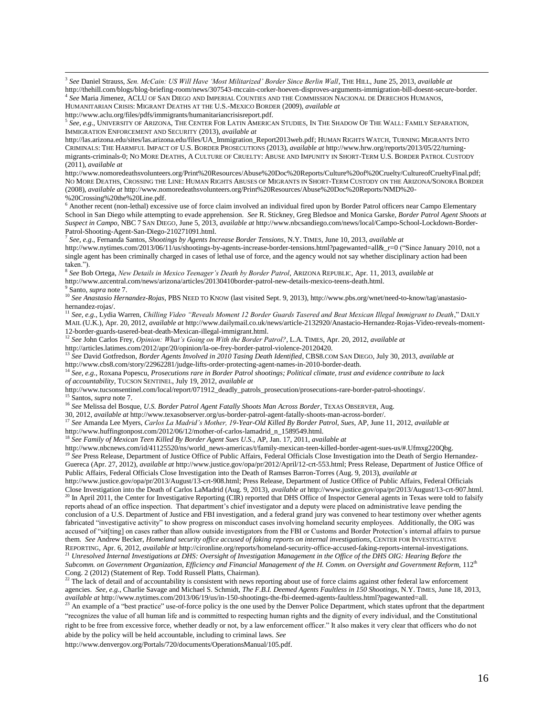3 *See* Daniel Strauss, *Sen. McCain: US Will Have 'Most Militarized' Border Since Berlin Wall*, THE HILL, June 25, 2013, *available at*  http://thehill.com/blogs/blog-briefing-room/news/307543-mccain-corker-hoeven-disproves-arguments-immigration-bill-doesnt-secure-border. 4 *See* Maria Jimenez, ACLU OF SAN DIEGO AND IMPERIAL COUNTIES AND THE COMMISSION NACIONAL DE DERECHOS HUMANOS,

HUMANITARIAN CRISIS: MIGRANT DEATHS AT THE U.S.-MEXICO BORDER (2009), *available at*

[http://www.aclu.org/files/pdfs/immigrants/humanitariancrisisreport.pdf.](http://www.aclu.org/files/pdfs/immigrants/humanitariancrisisreport.pdf)

5 *See, e.g.*, UNIVERSITY OF ARIZONA, THE CENTER FOR LATIN AMERICAN STUDIES, IN THE SHADOW OF THE WALL: FAMILY SEPARATION, IMMIGRATION ENFORCEMENT AND SECURITY (2013), *available at*

[http://las.arizona.edu/sites/las.arizona.edu/files/UA\\_Immigration\\_Report2013web.pdf;](http://las.arizona.edu/sites/las.arizona.edu/files/UA_Immigration_Report2013web.pdf) HUMAN RIGHTS WATCH, TURNING MIGRANTS INTO CRIMINALS: THE HARMFUL IMPACT OF U.S. BORDER PROSECUTIONS (2013), *available at* [http://www.hrw.org/reports/2013/05/22/turning](http://www.hrw.org/reports/2013/05/22/turning-migrants-criminals-0)[migrants-criminals-0;](http://www.hrw.org/reports/2013/05/22/turning-migrants-criminals-0) NO MORE DEATHS, A CULTURE OF CRUELTY: ABUSE AND IMPUNITY IN SHORT-TERM U.S. BORDER PATROL CUSTODY (2011), *available at* 

[http://www.nomoredeathsvolunteers.org/Print%20Resources/Abuse%20Doc%20Reports/Culture%20of%20Cruelty/CultureofCrueltyFinal.pdf;](http://www.nomoredeathsvolunteers.org/Print%20Resources/Abuse%20Doc%20Reports/Culture%20of%20Cruelty/CultureofCrueltyFinal.pdf) NO MORE DEATHS, CROSSING THE LINE: HUMAN RIGHTS ABUSES OF MIGRANTS IN SHORT-TERM CUSTODY ON THE ARIZONA/SONORA BORDER (2008), *available at* [http://www.nomoredeathsvolunteers.org/Print%20Resources/Abuse%20Doc%20Reports/NMD%20-](http://www.nomoredeathsvolunteers.org/Print%20Resources/Abuse%20Doc%20Reports/NMD%20-%20Crossing%20the%20Line.pdf) [%20Crossing%20the%20Line.pdf.](http://www.nomoredeathsvolunteers.org/Print%20Resources/Abuse%20Doc%20Reports/NMD%20-%20Crossing%20the%20Line.pdf) 

<sup>6</sup> Another recent (non-lethal) excessive use of force claim involved an individual fired upon by Border Patrol officers near Campo Elementary School in San Diego while attempting to evade apprehension. *See* R. Stickney, Greg Bledsoe and Monica Garske, *Border Patrol Agent Shoots at Suspect in Campo*, NBC 7 SAN DIEGO, June 5, 2013, *available at* [http://www.nbcsandiego.com/news/local/Campo-School-Lockdown-Border-](http://www.nbcsandiego.com/news/local/Campo-School-Lockdown-Border-Patrol-Shooting-Agent-San-Diego-210271091.html)[Patrol-Shooting-Agent-San-Diego-210271091.html.](http://www.nbcsandiego.com/news/local/Campo-School-Lockdown-Border-Patrol-Shooting-Agent-San-Diego-210271091.html)

7 *See, e.g.*, Fernanda Santos, *Shootings by Agents Increase Border Tensions*, N.Y. TIMES, June 10, 2013, *available at*  [http://www.nytimes.com/2013/06/11/us/shootings-by-agents-increase-border-tensions.html?pagewanted=all&\\_r=0](http://www.nytimes.com/2013/06/11/us/shootings-by-agents-increase-border-tensions.html?pagewanted=all&_r=0) ("Since January 2010, not a single agent has been criminally charged in cases of lethal use of force, and the agency would not say whether disciplinary action had been taken.").

8 *See* Bob Ortega, *New Details in Mexico Teenager's Death by Border Patrol*, ARIZONA REPUBLIC, Apr. 11, 2013, *available at*

[http://www.azcentral.com/news/arizona/articles/20130410border-patrol-new-details-mexico-teens-death.html.](http://www.azcentral.com/news/arizona/articles/20130410border-patrol-new-details-mexico-teens-death.html) 

9 Santo, *supra* note 7.

 $\overline{\phantom{a}}$ 

<sup>10</sup> *See Anastasio Hernandez-Rojas*, PBS NEED TO KNOW (last visited Sept. 9, 2013), [http://www.pbs.org/wnet/need-to-know/tag/anastasio](http://www.pbs.org/wnet/need-to-know/tag/anastasio-hernandez-rojas/)[hernandez-rojas/.](http://www.pbs.org/wnet/need-to-know/tag/anastasio-hernandez-rojas/)

<sup>11</sup> *See, e.g.*, Lydia Warren, *Chilling Video "Reveals Moment 12 Border Guards Tasered and Beat Mexican Illegal Immigrant to Death*," DAILY MAIL (U.K.), Apr. 20, 2012, *available at* [http://www.dailymail.co.uk/news/article-2132920/Anastacio-Hernandez-Rojas-Video-reveals-moment-](http://www.dailymail.co.uk/news/article-2132920/Anastacio-Hernandez-Rojas-Video-reveals-moment-12-border-guards-tasered-beat-death-Mexican-illegal-immigrant.html)[12-border-guards-tasered-beat-death-Mexican-illegal-immigrant.html.](http://www.dailymail.co.uk/news/article-2132920/Anastacio-Hernandez-Rojas-Video-reveals-moment-12-border-guards-tasered-beat-death-Mexican-illegal-immigrant.html) 

<sup>12</sup> *See* John Carlos Frey, *Opinion: What's Going on With the Border Patrol?*, L.A. TIMES, Apr. 20, 2012, *available at*  [http://articles.latimes.com/2012/apr/20/opinion/la-oe-frey-border-patrol-violence-20120420.](http://articles.latimes.com/2012/apr/20/opinion/la-oe-frey-border-patrol-violence-20120420) 

<sup>13</sup> *See* David Gotfredson, *Border Agents Involved in 2010 Tasing Death Identified*, CBS8.COM SAN DIEGO, July 30, 2013, *available at*  [http://www.cbs8.com/story/22962281/judge-lifts-order-protecting-agent-names-in-2010-border-death.](http://www.cbs8.com/story/22962281/judge-lifts-order-protecting-agent-names-in-2010-border-death) 

<sup>14</sup> *See, e.g.*, Roxana Popescu, *Prosecutions rare in Border Patrol shootings; Political climate, trust and evidence contribute to lack of accountability,* TUCSON SENTINEL, July 19, 2012, *available at* 

[http://www.tucsonsentinel.com/local/report/071912\\_deadly\\_patrols\\_prosecution/prosecutions-rare-border-patrol-shootings/.](http://www.tucsonsentinel.com/local/report/071912_deadly_patrols_prosecution/prosecutions-rare-border-patrol-shootings/)

<sup>15</sup> Santos, *supra* note 7.

<sup>16</sup> See Melissa del Bosque, U.S. Border Patrol Agent Fatally Shoots Man Across Border, TEXAS OBSERVER, Aug. 30, 2012, *available at* [http://www.texasobserver.org/us-border-patrol-agent-fatally-shoots-man-across-border/.](http://www.texasobserver.org/us-border-patrol-agent-fatally-shoots-man-across-border/) 

<sup>17</sup> *See* Amanda Lee Myers, *Carlos La Madrid's Mother, 19-Year-Old Killed By Border Patrol, Sues*, AP, June 11, 2012, *available at*

http://www.huffingtonpost.com/2012/06/12/mother-of-carlos-lamadrid\_n\_1589549.html.

<sup>18</sup> *See Family of Mexican Teen Killed By Border Agent Sues U.S.*, AP, Jan. 17, 2011, *available at* 

[http://www.nbcnews.com/id/41125520/ns/world\\_news-americas/t/family-mexican-teen-killed-border-agent-sues-us/#.Ufmxg220Qbg.](http://www.nbcnews.com/id/41125520/ns/world_news-americas/t/family-mexican-teen-killed-border-agent-sues-us/#.Ufmxg220Qbg)

<sup>19</sup> See Press Release, Department of Justice Office of Public Affairs, Federal Officials Close Investigation into the Death of Sergio Hernandez-Guereca (Apr. 27, 2012), *available at* [http://www.justice.gov/opa/pr/2012/April/12-crt-553.html;](http://www.justice.gov/opa/pr/2012/April/12-crt-553.html) Press Release, Department of Justice Office of Public Affairs, Federal Officials Close Investigation into the Death of Ramses Barron-Torres (Aug. 9, 2013), *available at*

[http://www.justice.gov/opa/pr/2013/August/13-crt-908.html;](http://www.justice.gov/opa/pr/2013/August/13-crt-908.html) Press Release, Department of Justice Office of Public Affairs, Federal Officials Close Investigation into the Death of Carlos LaMadrid (Aug. 9, 2013), *available at* [http://www.justice.gov/opa/pr/2013/August/13-crt-907.html.](http://www.justice.gov/opa/pr/2013/August/13-crt-907.html) <sup>20</sup> In April 2011, the Center for Investigative Reporting (CIR) reported that DHS Office of Inspector General agents in Texas were told to falsify reports ahead of an office inspection. That department's chief investigator and a deputy were placed on administrative leave pending the conclusion of a U.S. Department of Justice and FBI investigation, and a federal grand jury was convened to hear testimony over whether agents fabricated "investigative activity" to show progress on misconduct cases involving homeland security employees. Additionally, the OIG was

accused of "sit[ting] on cases rather than allow outside investigators from the FBI or Customs and Border Protection's internal affairs to pursue them*. See* Andrew Becker, *Homeland security office accused of faking reports on internal investigations*, CENTER FOR INVESTIGATIVE REPORTING, Apr. 6, 2012, *available at* [http://cironline.org/reports/homeland-security-office-accused-faking-reports-internal-investigations.](http://cironline.org/reports/homeland-security-office-accused-faking-reports-internal-investigations)

<sup>21</sup> *Unresolved Internal Investigations at DHS: Oversight of Investigation Management in the Office of the DHS OIG: Hearing Before the*  Subcomm. on Government Organization, Efficiency and Financial Management of the H. Comm. on Oversight and Government Reform, 112<sup>th</sup> Cong. 2 (2012) (Statement of Rep. Todd Russell Platts, Chairman).

<sup>22</sup> The lack of detail and of accountability is consistent with news reporting about use of force claims against other federal law enforcement agencies. *See, e.g.*, Charlie Savage and Michael S. Schmidt, *The F.B.I. Deemed Agents Faultless in 150 Shootings*, N.Y. TIMES, June 18, 2013, *available at* http://www.nytimes.com/2013/06/19/us/in-150-shootings-the-fbi-deemed-agents-faultless.html?pagewanted=all.

<sup>23</sup> An example of a "best practice" use-of-force policy is the one used by the Denver Police Department, which states upfront that the department "recognizes the value of all human life and is committed to respecting human rights and the dignity of every individual, and the Constitutional right to be free from excessive force, whether deadly or not, by a law enforcement officer." It also makes it very clear that officers who do not abide by the policy will be held accountable, including to criminal laws. *See*

http://www.denvergov.org/Portals/720/documents/OperationsManual/105.pdf.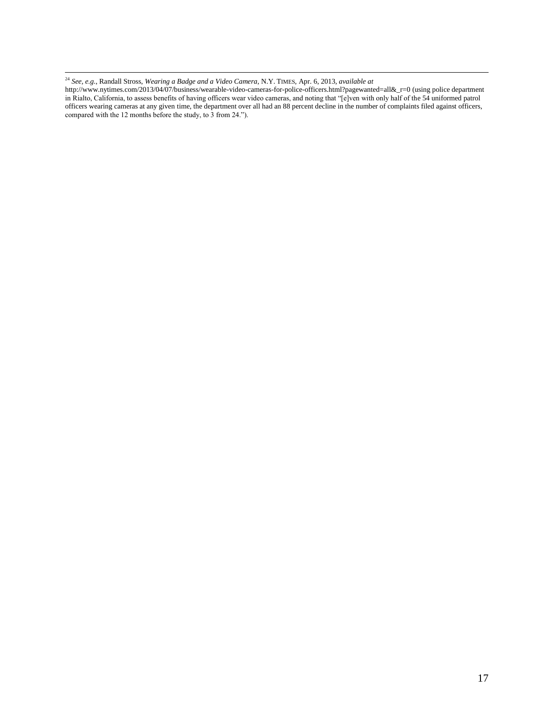<sup>24</sup> *See, e.g.*, Randall Stross, *Wearing a Badge and a Video Camera*, N.Y. TIMES, Apr. 6, 2013, *available at* 

 $\overline{\phantom{a}}$ 

[http://www.nytimes.com/2013/04/07/business/wearable-video-cameras-for-police-officers.html?pagewanted=all&\\_r=0](http://www.nytimes.com/2013/04/07/business/wearable-video-cameras-for-police-officers.html?pagewanted=all&_r=0) (using police department in Rialto, California, to assess benefits of having officers wear video cameras, and noting that "[e]ven with only half of the 54 uniformed patrol officers wearing cameras at any given time, the department over all had an 88 percent decline in the number of complaints filed against officers, compared with the 12 months before the study, to 3 from 24.").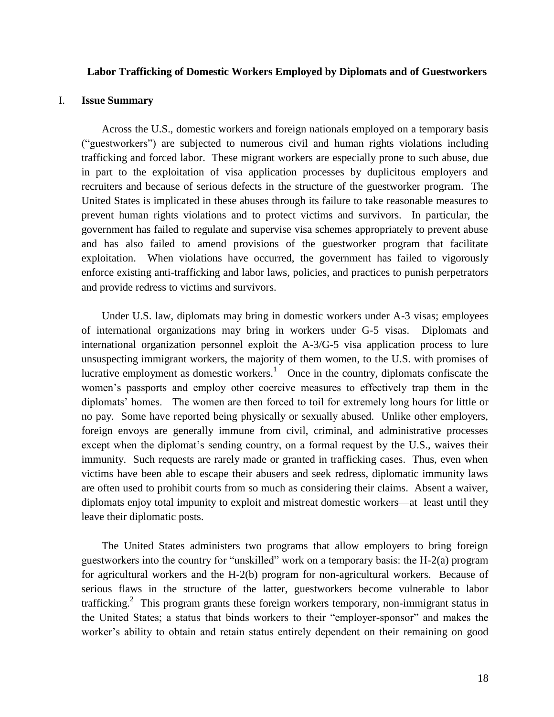### <span id="page-18-0"></span>**Labor Trafficking of Domestic Workers Employed by Diplomats and of Guestworkers**

## I. **Issue Summary**

Across the U.S., domestic workers and foreign nationals employed on a temporary basis ("guestworkers") are subjected to numerous civil and human rights violations including trafficking and forced labor. These migrant workers are especially prone to such abuse, due in part to the exploitation of visa application processes by duplicitous employers and recruiters and because of serious defects in the structure of the guestworker program. The United States is implicated in these abuses through its failure to take reasonable measures to prevent human rights violations and to protect victims and survivors. In particular, the government has failed to regulate and supervise visa schemes appropriately to prevent abuse and has also failed to amend provisions of the guestworker program that facilitate exploitation. When violations have occurred, the government has failed to vigorously enforce existing anti-trafficking and labor laws, policies, and practices to punish perpetrators and provide redress to victims and survivors.

Under U.S. law, diplomats may bring in domestic workers under A-3 visas; employees of international organizations may bring in workers under G-5 visas. Diplomats and international organization personnel exploit the A-3/G-5 visa application process to lure unsuspecting immigrant workers, the majority of them women, to the U.S. with promises of lucrative employment as domestic workers.<sup>1</sup> Once in the country, diplomats confiscate the women's passports and employ other coercive measures to effectively trap them in the diplomats' homes. The women are then forced to toil for extremely long hours for little or no pay. Some have reported being physically or sexually abused. Unlike other employers, foreign envoys are generally immune from civil, criminal, and administrative processes except when the diplomat's sending country, on a formal request by the U.S., waives their immunity. Such requests are rarely made or granted in trafficking cases. Thus, even when victims have been able to escape their abusers and seek redress, diplomatic immunity laws are often used to prohibit courts from so much as considering their claims. Absent a waiver, diplomats enjoy total impunity to exploit and mistreat domestic workers—at least until they leave their diplomatic posts.

The United States administers two programs that allow employers to bring foreign guestworkers into the country for "unskilled" work on a temporary basis: the H-2(a) program for agricultural workers and the H-2(b) program for non-agricultural workers. Because of serious flaws in the structure of the latter, guestworkers become vulnerable to labor trafficking.<sup>2</sup> This program grants these foreign workers temporary, non-immigrant status in the United States; a status that binds workers to their "employer-sponsor" and makes the worker's ability to obtain and retain status entirely dependent on their remaining on good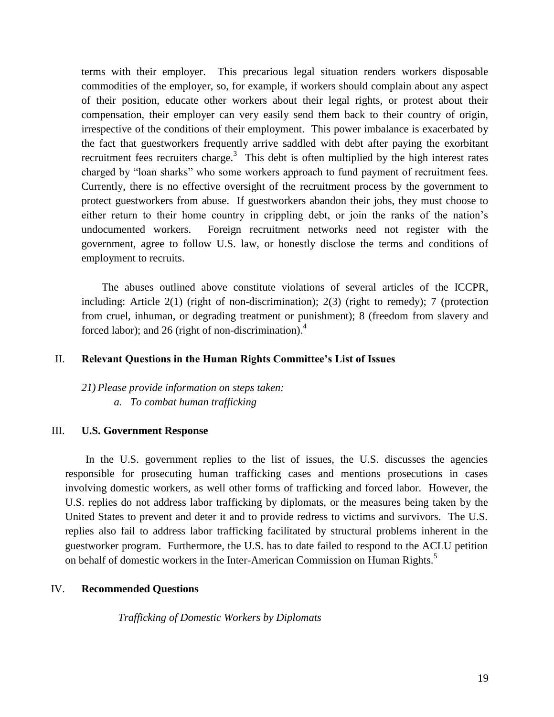terms with their employer. This precarious legal situation renders workers disposable commodities of the employer, so, for example, if workers should complain about any aspect of their position, educate other workers about their legal rights, or protest about their compensation, their employer can very easily send them back to their country of origin, irrespective of the conditions of their employment. This power imbalance is exacerbated by the fact that guestworkers frequently arrive saddled with debt after paying the exorbitant recruitment fees recruiters charge.<sup>3</sup> This debt is often multiplied by the high interest rates charged by "loan sharks" who some workers approach to fund payment of recruitment fees. Currently, there is no effective oversight of the recruitment process by the government to protect guestworkers from abuse. If guestworkers abandon their jobs, they must choose to either return to their home country in crippling debt, or join the ranks of the nation's undocumented workers. Foreign recruitment networks need not register with the government, agree to follow U.S. law, or honestly disclose the terms and conditions of employment to recruits.

The abuses outlined above constitute violations of several articles of the ICCPR, including: Article  $2(1)$  (right of non-discrimination);  $2(3)$  (right to remedy); 7 (protection from cruel, inhuman, or degrading treatment or punishment); 8 (freedom from slavery and forced labor); and 26 (right of non-discrimination).<sup>4</sup>

## II. **Relevant Questions in the Human Rights Committee's List of Issues**

*21) Please provide information on steps taken: a. To combat human trafficking*

## III. **U.S. Government Response**

In the U.S. government replies to the list of issues, the U.S. discusses the agencies responsible for prosecuting human trafficking cases and mentions prosecutions in cases involving domestic workers, as well other forms of trafficking and forced labor. However, the U.S. replies do not address labor trafficking by diplomats, or the measures being taken by the United States to prevent and deter it and to provide redress to victims and survivors. The U.S. replies also fail to address labor trafficking facilitated by structural problems inherent in the guestworker program. Furthermore, the U.S. has to date failed to respond to the ACLU petition on behalf of domestic workers in the Inter-American Commission on Human Rights.<sup>5</sup>

## IV. **Recommended Questions**

*Trafficking of Domestic Workers by Diplomats*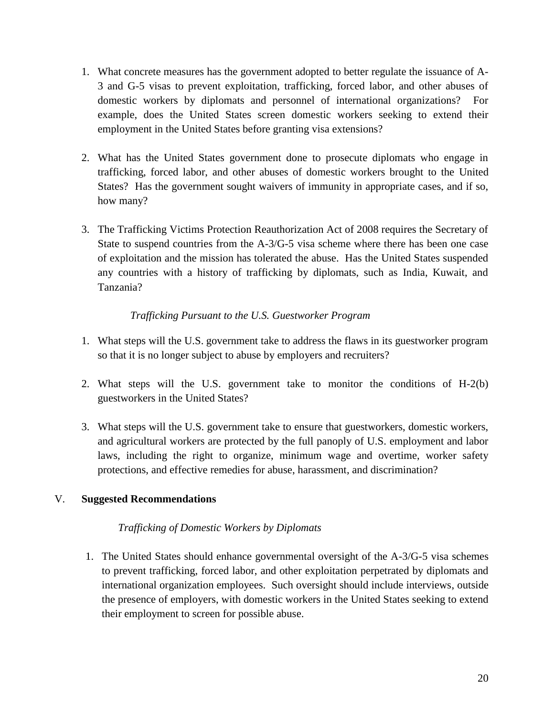- 1. What concrete measures has the government adopted to better regulate the issuance of A-3 and G-5 visas to prevent exploitation, trafficking, forced labor, and other abuses of domestic workers by diplomats and personnel of international organizations? For example, does the United States screen domestic workers seeking to extend their employment in the United States before granting visa extensions?
- 2. What has the United States government done to prosecute diplomats who engage in trafficking, forced labor, and other abuses of domestic workers brought to the United States? Has the government sought waivers of immunity in appropriate cases, and if so, how many?
- 3. The Trafficking Victims Protection Reauthorization Act of 2008 requires the Secretary of State to suspend countries from the A-3/G-5 visa scheme where there has been one case of exploitation and the mission has tolerated the abuse. Has the United States suspended any countries with a history of trafficking by diplomats, such as India, Kuwait, and Tanzania?

# *Trafficking Pursuant to the U.S. Guestworker Program*

- 1. What steps will the U.S. government take to address the flaws in its guestworker program so that it is no longer subject to abuse by employers and recruiters?
- 2. What steps will the U.S. government take to monitor the conditions of H-2(b) guestworkers in the United States?
- 3. What steps will the U.S. government take to ensure that guestworkers, domestic workers, and agricultural workers are protected by the full panoply of U.S. employment and labor laws, including the right to organize, minimum wage and overtime, worker safety protections, and effective remedies for abuse, harassment, and discrimination?

# V. **Suggested Recommendations**

# *Trafficking of Domestic Workers by Diplomats*

1. The United States should enhance governmental oversight of the A-3/G-5 visa schemes to prevent trafficking, forced labor, and other exploitation perpetrated by diplomats and international organization employees. Such oversight should include interviews, outside the presence of employers, with domestic workers in the United States seeking to extend their employment to screen for possible abuse.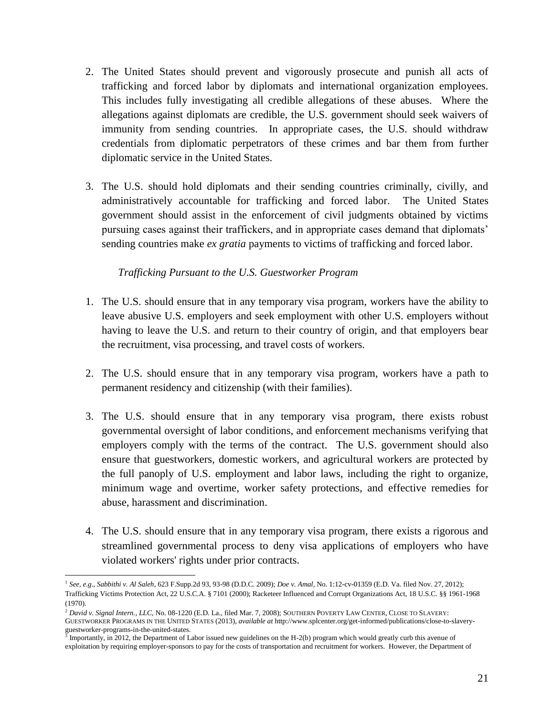- 2. The United States should prevent and vigorously prosecute and punish all acts of trafficking and forced labor by diplomats and international organization employees. This includes fully investigating all credible allegations of these abuses. Where the allegations against diplomats are credible, the U.S. government should seek waivers of immunity from sending countries. In appropriate cases, the U.S. should withdraw credentials from diplomatic perpetrators of these crimes and bar them from further diplomatic service in the United States.
- 3. The U.S. should hold diplomats and their sending countries criminally, civilly, and administratively accountable for trafficking and forced labor. The United States government should assist in the enforcement of civil judgments obtained by victims pursuing cases against their traffickers, and in appropriate cases demand that diplomats' sending countries make *ex gratia* payments to victims of trafficking and forced labor.

## *Trafficking Pursuant to the U.S. Guestworker Program*

- 1. The U.S. should ensure that in any temporary visa program, workers have the ability to leave abusive U.S. employers and seek employment with other U.S. employers without having to leave the U.S. and return to their country of origin, and that employers bear the recruitment, visa processing, and travel costs of workers.
- 2. The U.S. should ensure that in any temporary visa program, workers have a path to permanent residency and citizenship (with their families).
- 3. The U.S. should ensure that in any temporary visa program, there exists robust governmental oversight of labor conditions, and enforcement mechanisms verifying that employers comply with the terms of the contract. The U.S. government should also ensure that guestworkers, domestic workers, and agricultural workers are protected by the full panoply of U.S. employment and labor laws, including the right to organize, minimum wage and overtime, worker safety protections, and effective remedies for abuse, harassment and discrimination.
- 4. The U.S. should ensure that in any temporary visa program, there exists a rigorous and streamlined governmental process to deny visa applications of employers who have violated workers' rights under prior contracts.

 $\overline{a}$ 

<sup>1</sup> *See, e.g*., *Sabbithi v. Al Saleh*, 623 F.Supp.2d 93, 93-98 (D.D.C. 2009); *Doe v. Amal*, No. 1:12-cv-01359 (E.D. Va. filed Nov. 27, 2012); Trafficking Victims Protection Act, 22 U.S.C.A[. § 7101](https://1.next.westlaw.com/Link/Document/FullText?findType=L&pubNum=1000546&cite=22USCAS7101&originatingDoc=I44552360CFC911DE89F0CC6BC455EA95&refType=LQ&originationContext=document&transitionType=DocumentItem&contextData=(sc.Search)) (2000); Racketeer Influenced and Corrupt Organizations Act, 18 U.S.C. §§ 1961-1968 (1970).

<sup>2</sup> *David v. Signal Intern., LLC*, No. 08-1220 (E.D. La., filed Mar. 7, 2008); SOUTHERN POVERTY LAW CENTER, CLOSE TO SLAVERY: GUESTWORKER PROGRAMS IN THE UNITED STATES (2013), *available at* http://www.splcenter.org/get-informed/publications/close-to-slaveryguestworker-programs-in-the-united-states.<br><sup>3</sup> Importantly, in 2012, the Department of Labor issued new guidelines on the H-2(b) program which would greatly curb this avenue of

exploitation by requiring employer-sponsors to pay for the costs of transportation and recruitment for workers. However, the Department of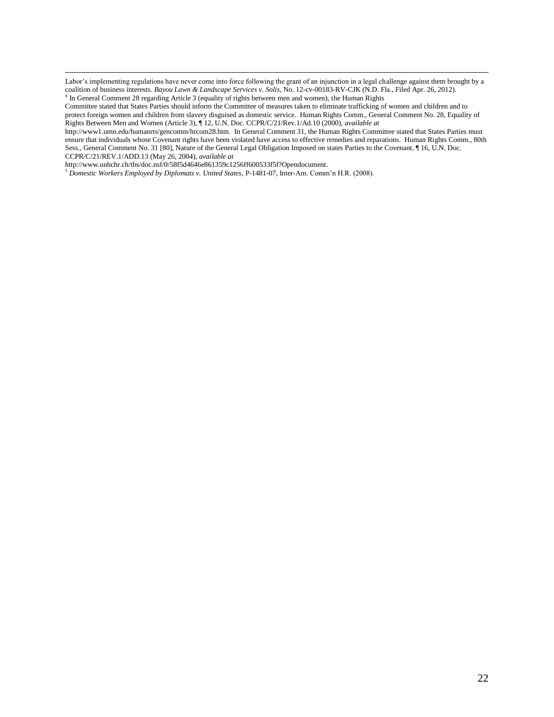Labor's implementing regulations have never come into force following the grant of an injunction in a legal challenge against them brought by a coalition of business interests. *Bayou Lawn & Landscape Services v. Solis*, No. 12-cv-00183-RV-CJK (N.D. Fla., Filed Apr. 26, 2012). <sup>4</sup> In General Comment 28 regarding Article 3 (equality of rights between men and women)

[http://www.unhchr.ch/tbs/doc.nsf/0/58f5d4646e861359c1256ff600533f5f?Opendocument.](http://www.unhchr.ch/tbs/doc.nsf/0/58f5d4646e861359c1256ff600533f5f?Opendocument) 

 $\overline{\phantom{a}}$ 

<sup>5</sup> *Domestic Workers Employed by Diplomats v. United States*, P-1481-07, Inter-Am. Comm'n H.R. (2008).

Committee stated that States Parties should inform the Committee of measures taken to eliminate trafficking of women and children and to protect foreign women and children from slavery disguised as domestic service. Human Rights Comm., General Comment No. 28, Equality of Rights Between Men and Women (Article 3), ¶ 12, U.N. Doc. CCPR/C/21/Rev.1/Ad.10 (2000), *available at*

[http://www1.umn.edu/humanrts/gencomm/hrcom28.htm.](http://www1.umn.edu/humanrts/gencomm/hrcom28.htm) In General Comment 31, the Human Rights Committee stated that States Parties must ensure that individuals whose Covenant rights have been violated have access to effective remedies and reparations. Human Rights Comm., 80th Sess., General Comment No. 31 [80], Nature of the General Legal Obligation Imposed on states Parties to the Covenant, ¶ 16, U.N. Doc. CCPR/C/21/REV.1/ADD.13 (May 26, 2004), *available at*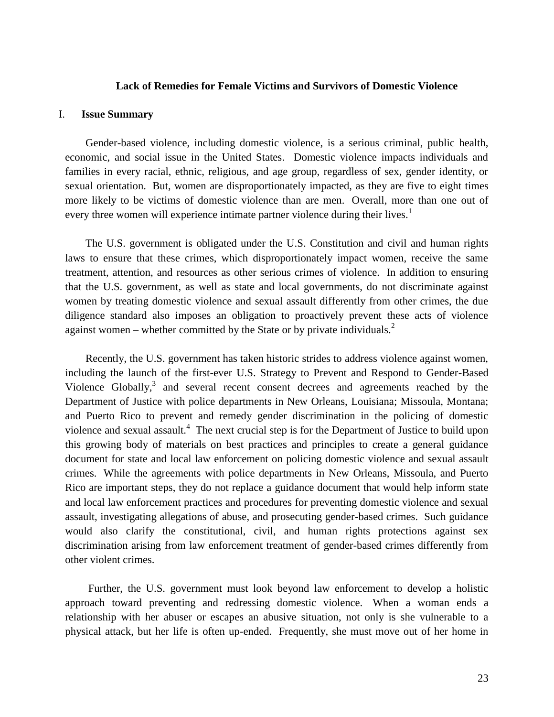### **Lack of Remedies for Female Victims and Survivors of Domestic Violence**

#### <span id="page-23-0"></span>I. **Issue Summary**

Gender-based violence, including domestic violence, is a serious criminal, public health, economic, and social issue in the United States. Domestic violence impacts individuals and families in every racial, ethnic, religious, and age group, regardless of sex, gender identity, or sexual orientation. But, women are disproportionately impacted, as they are five to eight times more likely to be victims of domestic violence than are men. Overall, more than one out of every three women will experience intimate partner violence during their lives.<sup>1</sup>

The U.S. government is obligated under the U.S. Constitution and civil and human rights laws to ensure that these crimes, which disproportionately impact women, receive the same treatment, attention, and resources as other serious crimes of violence. In addition to ensuring that the U.S. government, as well as state and local governments, do not discriminate against women by treating domestic violence and sexual assault differently from other crimes, the due diligence standard also imposes an obligation to proactively prevent these acts of violence against women – whether committed by the State or by private individuals. $<sup>2</sup>$ </sup>

Recently, the U.S. government has taken historic strides to address violence against women, including the launch of the first-ever U.S. Strategy to Prevent and Respond to Gender-Based Violence Globally, $3$  and several recent consent decrees and agreements reached by the Department of Justice with police departments in New Orleans, Louisiana; Missoula, Montana; and Puerto Rico to prevent and remedy gender discrimination in the policing of domestic violence and sexual assault.<sup>4</sup> The next crucial step is for the Department of Justice to build upon this growing body of materials on best practices and principles to create a general guidance document for state and local law enforcement on policing domestic violence and sexual assault crimes. While the agreements with police departments in New Orleans, Missoula, and Puerto Rico are important steps, they do not replace a guidance document that would help inform state and local law enforcement practices and procedures for preventing domestic violence and sexual assault, investigating allegations of abuse, and prosecuting gender-based crimes. Such guidance would also clarify the constitutional, civil, and human rights protections against sex discrimination arising from law enforcement treatment of gender-based crimes differently from other violent crimes.

Further, the U.S. government must look beyond law enforcement to develop a holistic approach toward preventing and redressing domestic violence. When a woman ends a relationship with her abuser or escapes an abusive situation, not only is she vulnerable to a physical attack, but her life is often up-ended. Frequently, she must move out of her home in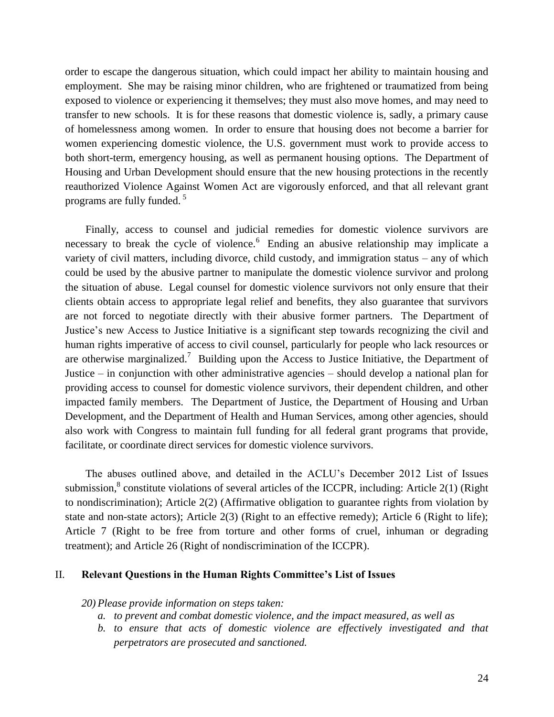order to escape the dangerous situation, which could impact her ability to maintain housing and employment. She may be raising minor children, who are frightened or traumatized from being exposed to violence or experiencing it themselves; they must also move homes, and may need to transfer to new schools. It is for these reasons that domestic violence is, sadly, a primary cause of homelessness among women. In order to ensure that housing does not become a barrier for women experiencing domestic violence, the U.S. government must work to provide access to both short-term, emergency housing, as well as permanent housing options. The Department of Housing and Urban Development should ensure that the new housing protections in the recently reauthorized Violence Against Women Act are vigorously enforced, and that all relevant grant programs are fully funded. <sup>5</sup>

Finally, access to counsel and judicial remedies for domestic violence survivors are necessary to break the cycle of violence.<sup>6</sup> Ending an abusive relationship may implicate a variety of civil matters, including divorce, child custody, and immigration status – any of which could be used by the abusive partner to manipulate the domestic violence survivor and prolong the situation of abuse. Legal counsel for domestic violence survivors not only ensure that their clients obtain access to appropriate legal relief and benefits, they also guarantee that survivors are not forced to negotiate directly with their abusive former partners. The Department of Justice's new Access to Justice Initiative is a significant step towards recognizing the civil and human rights imperative of access to civil counsel, particularly for people who lack resources or are otherwise marginalized.<sup>7</sup> Building upon the Access to Justice Initiative, the Department of Justice – in conjunction with other administrative agencies – should develop a national plan for providing access to counsel for domestic violence survivors, their dependent children, and other impacted family members. The Department of Justice, the Department of Housing and Urban Development, and the Department of Health and Human Services, among other agencies, should also work with Congress to maintain full funding for all federal grant programs that provide, facilitate, or coordinate direct services for domestic violence survivors.

The abuses outlined above, and detailed in the ACLU's December 2012 List of Issues submission,<sup>8</sup> constitute violations of several articles of the ICCPR, including: Article 2(1) (Right to nondiscrimination); Article 2(2) (Affirmative obligation to guarantee rights from violation by state and non-state actors); Article 2(3) (Right to an effective remedy); Article 6 (Right to life); Article 7 (Right to be free from torture and other forms of cruel, inhuman or degrading treatment); and Article 26 (Right of nondiscrimination of the ICCPR).

### II. **Relevant Questions in the Human Rights Committee's List of Issues**

*20) Please provide information on steps taken:*

- *a. to prevent and combat domestic violence, and the impact measured, as well as*
- *b. to ensure that acts of domestic violence are effectively investigated and that perpetrators are prosecuted and sanctioned.*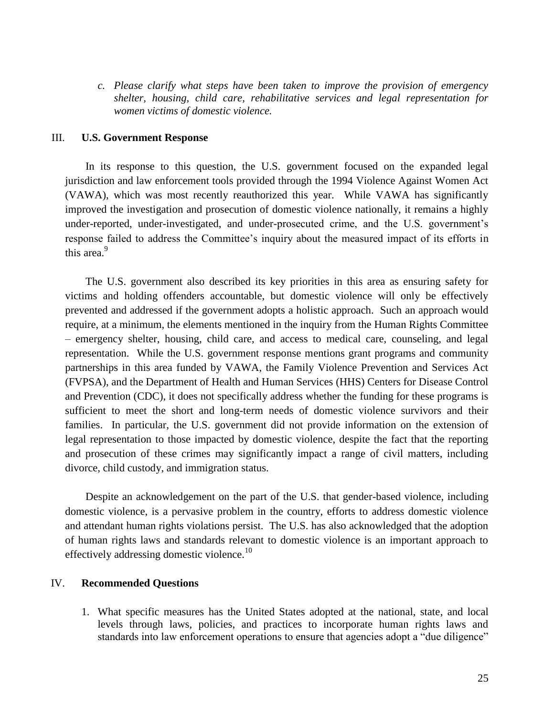*c. Please clarify what steps have been taken to improve the provision of emergency shelter, housing, child care, rehabilitative services and legal representation for women victims of domestic violence.* 

### III. **U.S. Government Response**

In its response to this question, the U.S. government focused on the expanded legal jurisdiction and law enforcement tools provided through the 1994 Violence Against Women Act (VAWA), which was most recently reauthorized this year. While VAWA has significantly improved the investigation and prosecution of domestic violence nationally, it remains a highly under-reported, under-investigated, and under-prosecuted crime, and the U.S. government's response failed to address the Committee's inquiry about the measured impact of its efforts in this area. $9$ 

The U.S. government also described its key priorities in this area as ensuring safety for victims and holding offenders accountable, but domestic violence will only be effectively prevented and addressed if the government adopts a holistic approach. Such an approach would require, at a minimum, the elements mentioned in the inquiry from the Human Rights Committee – emergency shelter, housing, child care, and access to medical care, counseling, and legal representation. While the U.S. government response mentions grant programs and community partnerships in this area funded by VAWA, the Family Violence Prevention and Services Act (FVPSA), and the Department of Health and Human Services (HHS) Centers for Disease Control and Prevention (CDC), it does not specifically address whether the funding for these programs is sufficient to meet the short and long-term needs of domestic violence survivors and their families. In particular, the U.S. government did not provide information on the extension of legal representation to those impacted by domestic violence, despite the fact that the reporting and prosecution of these crimes may significantly impact a range of civil matters, including divorce, child custody, and immigration status.

Despite an acknowledgement on the part of the U.S. that gender-based violence, including domestic violence, is a pervasive problem in the country, efforts to address domestic violence and attendant human rights violations persist. The U.S. has also acknowledged that the adoption of human rights laws and standards relevant to domestic violence is an important approach to effectively addressing domestic violence.<sup>10</sup>

## IV. **Recommended Questions**

1. What specific measures has the United States adopted at the national, state, and local levels through laws, policies, and practices to incorporate human rights laws and standards into law enforcement operations to ensure that agencies adopt a "due diligence"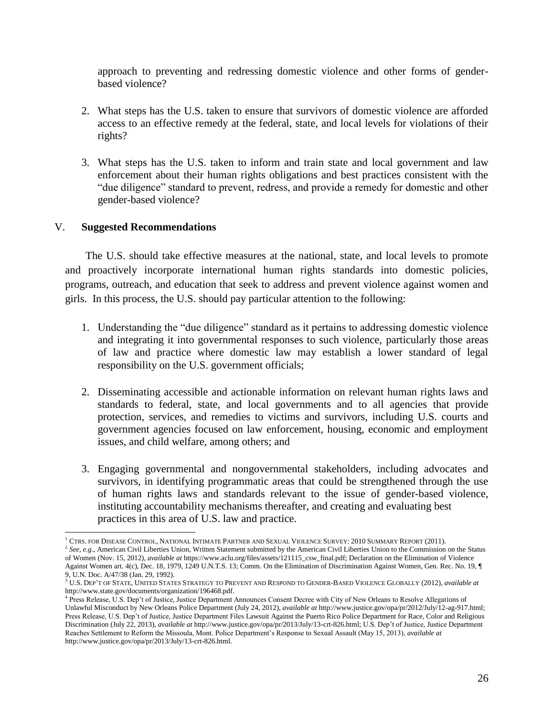approach to preventing and redressing domestic violence and other forms of genderbased violence?

- 2. What steps has the U.S. taken to ensure that survivors of domestic violence are afforded access to an effective remedy at the federal, state, and local levels for violations of their rights?
- 3. What steps has the U.S. taken to inform and train state and local government and law enforcement about their human rights obligations and best practices consistent with the "due diligence" standard to prevent, redress, and provide a remedy for domestic and other gender-based violence?

## V. **Suggested Recommendations**

The U.S. should take effective measures at the national, state, and local levels to promote and proactively incorporate international human rights standards into domestic policies, programs, outreach, and education that seek to address and prevent violence against women and girls. In this process, the U.S. should pay particular attention to the following:

- 1. Understanding the "due diligence" standard as it pertains to addressing domestic violence and integrating it into governmental responses to such violence, particularly those areas of law and practice where domestic law may establish a lower standard of legal responsibility on the U.S. government officials;
- 2. Disseminating accessible and actionable information on relevant human rights laws and standards to federal, state, and local governments and to all agencies that provide protection, services, and remedies to victims and survivors, including U.S. courts and government agencies focused on law enforcement, housing, economic and employment issues, and child welfare, among others; and
- 3. Engaging governmental and nongovernmental stakeholders, including advocates and survivors, in identifying programmatic areas that could be strengthened through the use of human rights laws and standards relevant to the issue of gender-based violence, instituting accountability mechanisms thereafter, and creating and evaluating best practices in this area of U.S. law and practice.

l <sup>1</sup> CTRS. FOR DISEASE CONTROL, NATIONAL INTIMATE PARTNER AND SEXUAL VIOLENCE SURVEY: 2010 SUMMARY REPORT (2011).

<sup>2</sup> *See, e.g*., American Civil Liberties Union, Written Statement submitted by the American Civil Liberties Union to the Commission on the Status of Women (Nov. 15, 2012), *available at* [https://www.aclu.org/files/assets/121115\\_csw\\_final.pdf;](https://www.aclu.org/files/assets/121115_csw_final.pdf) Declaration on the Elimination of Violence Against Women art. 4(c), Dec. 18, 1979, 1249 U.N.T.S. 13; Comm. On the Elimination of Discrimination Against Women, Gen. Rec. No. 19, ¶ 9, U.N. Doc. A/47/38 (Jan. 29, 1992).

<sup>3</sup> U.S. DEP'T OF STATE, UNITED STATES STRATEGY TO PREVENT AND RESPOND TO GENDER-BASED VIOLENCE GLOBALLY (2012), *available at* [http://www.state.gov/documents/organization/196468.pdf.](http://www.state.gov/documents/organization/196468.pdf)

<sup>&</sup>lt;sup>4</sup> Press Release, U.S. Dep't of Justice, Justice Department Announces Consent Decree with City of New Orleans to Resolve Allegations of Unlawful Misconduct by New Orleans Police Department (July 24, 2012), *available at* [http://www.justice.gov/opa/pr/2012/July/12-ag-917.html;](http://www.justice.gov/opa/pr/2012/July/12-ag-917.html) Press Release, U.S. Dep't of Justice, Justice Department Files Lawsuit Against the Puerto Rico Police Department for Race, Color and Religious Discrimination (July 22, 2013), *available at* [http://www.justice.gov/opa/pr/2013/July/13-crt-826.html;](http://www.justice.gov/opa/pr/2013/July/13-crt-826.html) U.S. Dep't of Justice, Justice Department Reaches Settlement to Reform the Missoula, Mont. Police Department's Response to Sexual Assault (May 15, 2013), *available at*  [http://www.justice.gov/opa/pr/2013/July/13-crt-826.html.](http://www.justice.gov/opa/pr/2013/July/13-crt-826.html)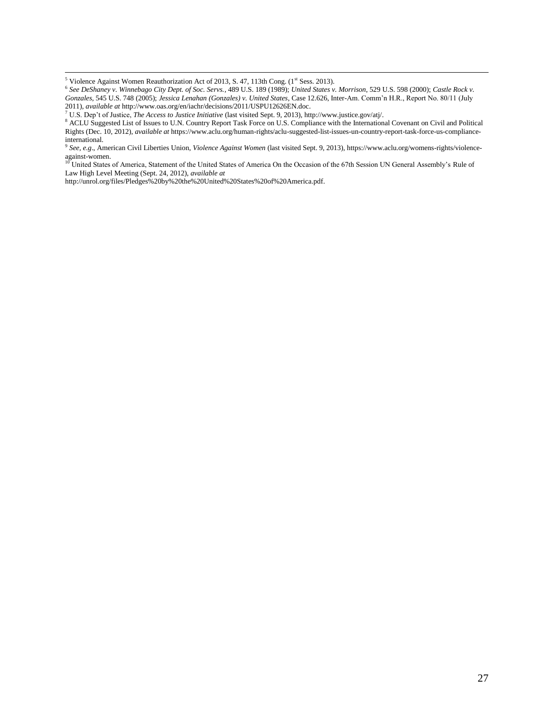$\overline{\phantom{a}}$ 

<sup>7</sup> U.S. Dep't of Justice, *The Access to Justice Initiative* (last visited Sept. 9, 2013)[, http://www.justice.gov/atj/.](http://www.justice.gov/atj/)

9 *See, e.g*., American Civil Liberties Union, *Violence Against Women* (last visited Sept. 9, 2013)[, https://www.aclu.org/womens-rights/violence](https://www.aclu.org/womens-rights/violence-against-women)[against-women.](https://www.aclu.org/womens-rights/violence-against-women)

<sup>10</sup> United States of America, Statement of the United States of America On the Occasion of the 67th Session UN General Assembly's Rule of Law High Level Meeting (Sept. 24, 2012), *available at*

[http://unrol.org/files/Pledges%20by%20the%20United%20States%20of%20America.pdf.](http://unrol.org/files/Pledges%20by%20the%20United%20States%20of%20America.pdf) 

<sup>&</sup>lt;sup>5</sup> Violence Against Women Reauthorization Act of 2013, S. 47, 113th Cong. (1<sup>st</sup> Sess. 2013).<br><sup>6</sup> See DeShaney v. Winnebago City Dept. of Soc. Servs., 489 U.S. 189 (1989); United States v. Morrison, 529 U.S. 598 (2000); C *Gonzales*, 545 U.S. 748 (2005); *Jessica Lenahan (Gonzales) v. United States*, Case 12.626, Inter-Am. Comm'n H.R., Report No. 80/11 (July 2011), *available at* [http://www.oas.org/en/iachr/decisions/2011/USPU12626EN.doc.](http://www.oas.org/en/iachr/decisions/2011/USPU12626EN.doc)

<sup>8</sup> ACLU Suggested List of Issues to U.N. Country Report Task Force on U.S. Compliance with the International Covenant on Civil and Political Rights (Dec. 10, 2012), *available at* [https://www.aclu.org/human-rights/aclu-suggested-list-issues-un-country-report-task-force-us-compliance](https://www.aclu.org/human-rights/aclu-suggested-list-issues-un-country-report-task-force-us-compliance-international)[international.](https://www.aclu.org/human-rights/aclu-suggested-list-issues-un-country-report-task-force-us-compliance-international)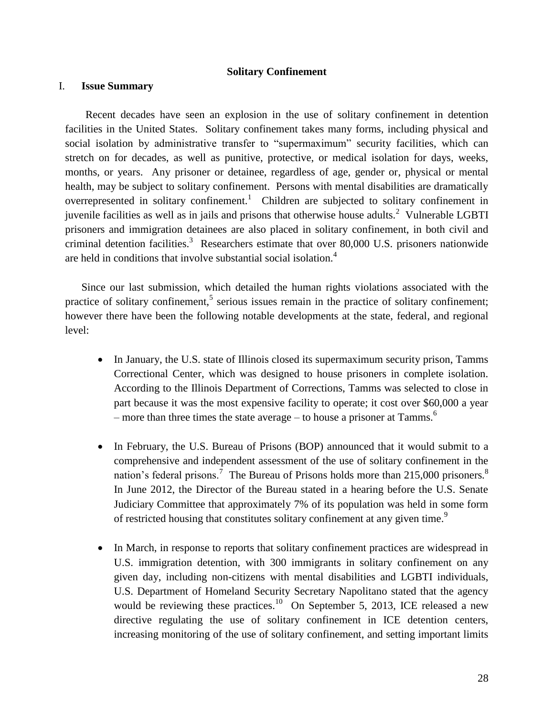### **Solitary Confinement**

## <span id="page-28-0"></span>I. **Issue Summary**

Recent decades have seen an explosion in the use of solitary confinement in detention facilities in the United States. Solitary confinement takes many forms, including physical and social isolation by administrative transfer to "supermaximum" security facilities, which can stretch on for decades, as well as punitive, protective, or medical isolation for days, weeks, months, or years. Any prisoner or detainee, regardless of age, gender or, physical or mental health, may be subject to solitary confinement. Persons with mental disabilities are dramatically overrepresented in solitary confinement.<sup>1</sup> Children are subjected to solitary confinement in juvenile facilities as well as in jails and prisons that otherwise house adults.<sup>2</sup> Vulnerable LGBTI prisoners and immigration detainees are also placed in solitary confinement, in both civil and criminal detention facilities.<sup>3</sup> Researchers estimate that over 80,000 U.S. prisoners nationwide are held in conditions that involve substantial social isolation.<sup>4</sup>

Since our last submission, which detailed the human rights violations associated with the practice of solitary confinement,<sup>5</sup> serious issues remain in the practice of solitary confinement; however there have been the following notable developments at the state, federal, and regional level:

- In January, the U.S. state of Illinois closed its supermaximum security prison, Tamms Correctional Center, which was designed to house prisoners in complete isolation. According to the Illinois Department of Corrections, Tamms was selected to close in part because it was the most expensive facility to operate; it cost over \$60,000 a year – more than three times the state average – to house a prisoner at Tamms.<sup>6</sup>
- In February, the U.S. Bureau of Prisons (BOP) announced that it would submit to a comprehensive and independent assessment of the use of solitary confinement in the nation's federal prisons.<sup>7</sup> The Bureau of Prisons holds more than 215,000 prisoners.<sup>8</sup> In June 2012, the Director of the Bureau stated in a hearing before the U.S. Senate Judiciary Committee that approximately 7% of its population was held in some form of restricted housing that constitutes solitary confinement at any given time.<sup>9</sup>
- In March, in response to reports that solitary confinement practices are widespread in U.S. immigration detention, with 300 immigrants in solitary confinement on any given day, including non-citizens with mental disabilities and LGBTI individuals, U.S. Department of Homeland Security Secretary Napolitano stated that the agency would be reviewing these practices.<sup>10</sup> On September 5, 2013, ICE released a new directive regulating the use of solitary confinement in ICE detention centers, increasing monitoring of the use of solitary confinement, and setting important limits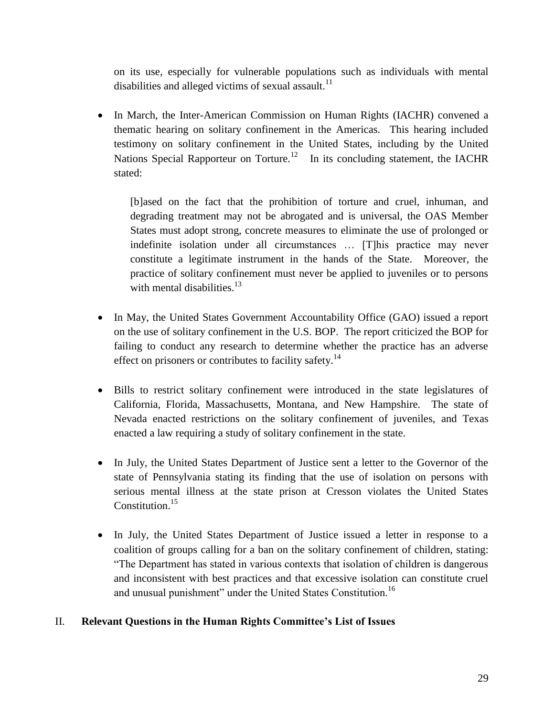on its use, especially for vulnerable populations such as individuals with mental disabilities and alleged victims of sexual assault.<sup>11</sup>

• In March, the Inter-American Commission on Human Rights (IACHR) convened a thematic hearing on solitary confinement in the Americas. This hearing included testimony on solitary confinement in the United States, including by the United Nations Special Rapporteur on Torture.<sup>12</sup> In its concluding statement, the IACHR stated:

[b]ased on the fact that the prohibition of torture and cruel, inhuman, and degrading treatment may not be abrogated and is universal, the OAS Member States must adopt strong, concrete measures to eliminate the use of prolonged or indefinite isolation under all circumstances … [T]his practice may never constitute a legitimate instrument in the hands of the State. Moreover, the practice of solitary confinement must never be applied to juveniles or to persons with mental disabilities. $13$ 

- In May, the United States Government Accountability Office (GAO) issued a report on the use of solitary confinement in the U.S. BOP. The report criticized the BOP for failing to conduct any research to determine whether the practice has an adverse effect on prisoners or contributes to facility safety.<sup>14</sup>
- Bills to restrict solitary confinement were introduced in the state legislatures of California, Florida, Massachusetts, Montana, and New Hampshire. The state of Nevada enacted restrictions on the solitary confinement of juveniles, and Texas enacted a law requiring a study of solitary confinement in the state.
- In July, the United States Department of Justice sent a letter to the Governor of the state of Pennsylvania stating its finding that the use of isolation on persons with serious mental illness at the state prison at Cresson violates the United States Constitution<sup>15</sup>
- In July, the United States Department of Justice issued a letter in response to a coalition of groups calling for a ban on the solitary confinement of children, stating: "The Department has stated in various contexts that isolation of children is dangerous and inconsistent with best practices and that excessive isolation can constitute cruel and unusual punishment" under the United States Constitution.<sup>16</sup>

# II. **Relevant Questions in the Human Rights Committee's List of Issues**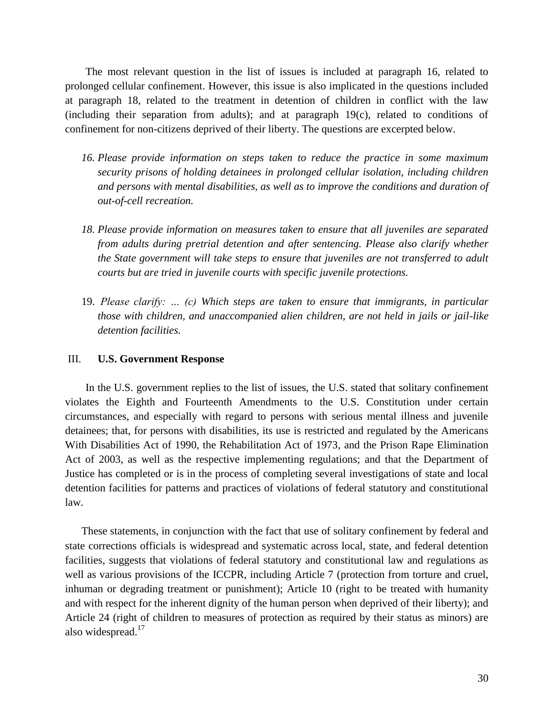The most relevant question in the list of issues is included at paragraph 16, related to prolonged cellular confinement. However, this issue is also implicated in the questions included at paragraph 18, related to the treatment in detention of children in conflict with the law (including their separation from adults); and at paragraph 19(c), related to conditions of confinement for non-citizens deprived of their liberty. The questions are excerpted below.

- *16. Please provide information on steps taken to reduce the practice in some maximum security prisons of holding detainees in prolonged cellular isolation, including children and persons with mental disabilities, as well as to improve the conditions and duration of out-of-cell recreation.*
- *18. Please provide information on measures taken to ensure that all juveniles are separated from adults during pretrial detention and after sentencing. Please also clarify whether the State government will take steps to ensure that juveniles are not transferred to adult courts but are tried in juvenile courts with specific juvenile protections.*
- 19. *Please clarify: … (c) Which steps are taken to ensure that immigrants, in particular those with children, and unaccompanied alien children, are not held in jails or jail-like detention facilities.*

### III. **U.S. Government Response**

In the U.S. government replies to the list of issues, the U.S. stated that solitary confinement violates the Eighth and Fourteenth Amendments to the U.S. Constitution under certain circumstances, and especially with regard to persons with serious mental illness and juvenile detainees; that, for persons with disabilities, its use is restricted and regulated by the Americans With Disabilities Act of 1990, the Rehabilitation Act of 1973, and the Prison Rape Elimination Act of 2003, as well as the respective implementing regulations; and that the Department of Justice has completed or is in the process of completing several investigations of state and local detention facilities for patterns and practices of violations of federal statutory and constitutional law.

These statements, in conjunction with the fact that use of solitary confinement by federal and state corrections officials is widespread and systematic across local, state, and federal detention facilities, suggests that violations of federal statutory and constitutional law and regulations as well as various provisions of the ICCPR, including Article 7 (protection from torture and cruel, inhuman or degrading treatment or punishment); Article 10 (right to be treated with humanity and with respect for the inherent dignity of the human person when deprived of their liberty); and Article 24 (right of children to measures of protection as required by their status as minors) are also widespread.<sup>17</sup>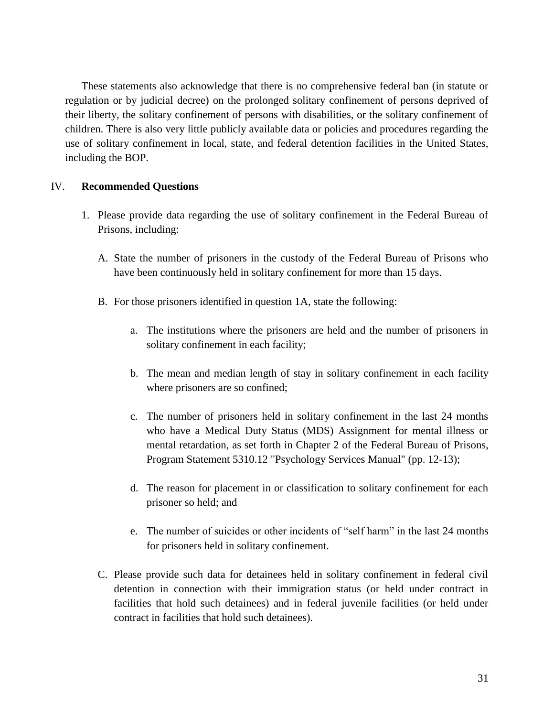These statements also acknowledge that there is no comprehensive federal ban (in statute or regulation or by judicial decree) on the prolonged solitary confinement of persons deprived of their liberty, the solitary confinement of persons with disabilities, or the solitary confinement of children. There is also very little publicly available data or policies and procedures regarding the use of solitary confinement in local, state, and federal detention facilities in the United States, including the BOP.

## IV. **Recommended Questions**

- 1. Please provide data regarding the use of solitary confinement in the Federal Bureau of Prisons, including:
	- A. State the number of prisoners in the custody of the Federal Bureau of Prisons who have been continuously held in solitary confinement for more than 15 days.
	- B. For those prisoners identified in question 1A, state the following:
		- a. The institutions where the prisoners are held and the number of prisoners in solitary confinement in each facility;
		- b. The mean and median length of stay in solitary confinement in each facility where prisoners are so confined;
		- c. The number of prisoners held in solitary confinement in the last 24 months who have a Medical Duty Status (MDS) Assignment for mental illness or mental retardation, as set forth in Chapter 2 of the Federal Bureau of Prisons, Program Statement 5310.12 "Psychology Services Manual" (pp. 12-13);
		- d. The reason for placement in or classification to solitary confinement for each prisoner so held; and
		- e. The number of suicides or other incidents of "self harm" in the last 24 months for prisoners held in solitary confinement.
	- C. Please provide such data for detainees held in solitary confinement in federal civil detention in connection with their immigration status (or held under contract in facilities that hold such detainees) and in federal juvenile facilities (or held under contract in facilities that hold such detainees).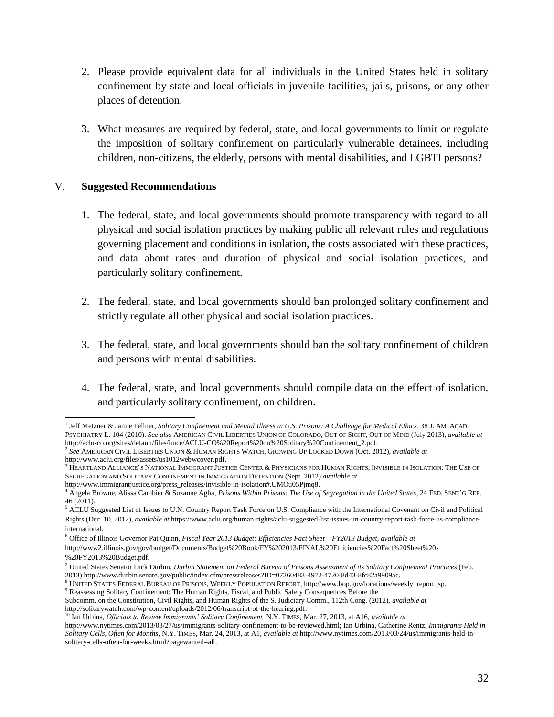- 2. Please provide equivalent data for all individuals in the United States held in solitary confinement by state and local officials in juvenile facilities, jails, prisons, or any other places of detention.
- 3. What measures are required by federal, state, and local governments to limit or regulate the imposition of solitary confinement on particularly vulnerable detainees, including children, non-citizens, the elderly, persons with mental disabilities, and LGBTI persons?

## V. **Suggested Recommendations**

- 1. The federal, state, and local governments should promote transparency with regard to all physical and social isolation practices by making public all relevant rules and regulations governing placement and conditions in isolation, the costs associated with these practices, and data about rates and duration of physical and social isolation practices, and particularly solitary confinement.
- 2. The federal, state, and local governments should ban prolonged solitary confinement and strictly regulate all other physical and social isolation practices.
- 3. The federal, state, and local governments should ban the solitary confinement of children and persons with mental disabilities.
- 4. The federal, state, and local governments should compile data on the effect of isolation, and particularly solitary confinement, on children.

 1 Jeff Metzner & Jamie Fellner, *Solitary Confinement and Mental Illness in U.S. Prisons: A Challenge for Medical Ethics*, 38 J. AM. ACAD. PSYCHIATRY L. 104 (2010). *See also* AMERICAN CIVIL LIBERTIES UNION OF COLORADO, OUT OF SIGHT, OUT OF MIND (July 2013), *available at* http://aclu-co.org/sites/default/files/imce/ACLU-CO%20Report%20on%20Solitary%20Confinement\_2.pdf.

<sup>2</sup> *See* AMERICAN CIVIL LIBERTIES UNION & HUMAN RIGHTS WATCH, GROWING UP LOCKED DOWN (Oct. 2012), *available at* http://www.aclu.org/files/assets/us1012webwcover.pdf.

<sup>3</sup> HEARTLAND ALLIANCE'S NATIONAL IMMIGRANT JUSTICE CENTER & PHYSICIANS FOR HUMAN RIGHTS, INVISIBLE IN ISOLATION: THE USE OF SEGREGATION AND SOLITARY CONFINEMENT IN IMMIGRATION DETENTION (Sept. 2012) *available at*

http://www.immigrantjustice.org/press\_releases/invisible-in-isolation#.UMOu05Pjmq8.

<sup>4</sup> Angela Browne, Alissa Cambier & Suzanne Agha, *Prisons Within Prisons: The Use of Segregation in the United States*, 24 FED. SENT'G REP. 46 (2011).

<sup>5</sup> ACLU Suggested List of Issues to U.N. Country Report Task Force on U.S. Compliance with the International Covenant on Civil and Political Rights (Dec. 10, 2012), *available at* https://www.aclu.org/human-rights/aclu-suggested-list-issues-un-country-report-task-force-us-complianceinternational.

<sup>6</sup> Office of Illinois Governor Pat Quinn, *Fiscal Year 2013 Budget: Efficiencies Fact Sheet – FY2013 Budget*, *available at* 

[http://www2.illinois.gov/gov/budget/Documents/Budget%20Book/FY%202013/FINAL%20Efficiencies%20Fact%20Sheet%20-](http://www2.illinois.gov/gov/budget/Documents/Budget%20Book/FY%202013/FINAL%20Efficiencies%20Fact%20Sheet%20-%20FY2013%20Budget.pdf) [%20FY2013%20Budget.pdf.](http://www2.illinois.gov/gov/budget/Documents/Budget%20Book/FY%202013/FINAL%20Efficiencies%20Fact%20Sheet%20-%20FY2013%20Budget.pdf) 

<sup>7</sup> United States Senator Dick Durbin, *Durbin Statement on Federal Bureau of Prisons Assessment of its Solitary Confinement Practices* (Feb. 2013) http://www.durbin.senate.gov/public/index.cfm/pressreleases?ID=07260483-4972-4720-8d43-8fc82a9909ac.

<sup>8</sup> UNITED STATES FEDERAL BUREAU OF PRISONS, WEEKLY POPULATION REPORT, http://www.bop.gov/locations/weekly\_report.jsp.

<sup>&</sup>lt;sup>9</sup> Reassessing Solitary Confinement: The Human Rights, Fiscal, and Public Safety Consequences Before the

Subcomm. on the Constitution, Civil Rights, and Human Rights of the S. Judiciary Comm., 112th Cong. (2012), *available at* http://solitarywatch.com/wp-content/uploads/2012/06/transcript-of-the-hearing.pdf.

<sup>10</sup> Ian Urbina, *Officials to Review Immigrants' Solitary Confinement,* N.Y. TIMES, Mar. 27, 2013, at A16, *available at* 

http://www.nytimes.com/2013/03/27/us/immigrants-solitary-confinement-to-be-reviewed.html; Ian Urbina, Catherine Rentz, *Immigrants Held in Solitary Cells, Often for Months*, N.Y. TIMES, Mar. 24, 2013, at A1, *available at* [http://www.nytimes.com/2013/03/24/us/immigrants-held-in](http://www.nytimes.com/2013/03/24/us/immigrants-held-in-solitary-cells-often-for-weeks.html?pagewanted=all)[solitary-cells-often-for-weeks.html?pagewanted=all.](http://www.nytimes.com/2013/03/24/us/immigrants-held-in-solitary-cells-often-for-weeks.html?pagewanted=all)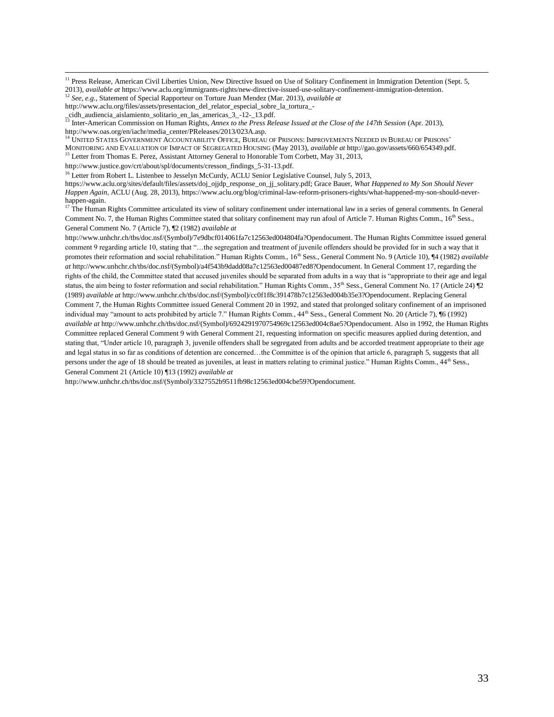<sup>11</sup> Press Release, American Civil Liberties Union, New Directive Issued on Use of Solitary Confinement in Immigration Detention (Sept. 5, 2013), *available at* [https://www.aclu.org/immigrants-rights/new-directive-issued-use-solitary-confinement-immigration-detention.](https://www.aclu.org/immigrants-rights/new-directive-issued-use-solitary-confinement-immigration-detention)

 $\overline{\phantom{a}}$ 

<sup>14</sup> UNITED STATES GOVERNMENT ACCOUNTABILITY OFFICE, BUREAU OF PRISONS: IMPROVEMENTS NEEDED IN BUREAU OF PRISONS' MONITORING AND EVALUATION OF IMPACT OF SEGREGATED HOUSING (May 2013), *available at* http://gao.gov/assets/660/654349.pdf.

<sup>15</sup> Letter from Thomas E. Perez, Assistant Attorney General to Honorable Tom Corbett, May 31, 2013,

[http://www.justice.gov/crt/about/spl/documents/cresson\\_findings\\_5-31-13.pdf.](http://www.justice.gov/crt/about/spl/documents/cresson_findings_5-31-13.pdf)

<sup>16</sup> Letter from Robert L. Listenbee to Jesselyn McCurdy, ACLU Senior Legislative Counsel, July 5, 2013,

https://www.aclu.org/sites/default/files/assets/doj\_ojjdp\_response\_on\_jj\_solitary.pdf; Grace Bauer, *What Happened to My Son Should Never Happen Again*, ACLU (Aug. 28, 2013), https://www.aclu.org/blog/criminal-law-reform-prisoners-rights/what-happened-my-son-should-neverhappen-again.

 $17$  The Human Rights Committee articulated its view of solitary confinement under international law in a series of general comments. In General Comment No. 7, the Human Rights Committee stated that solitary confinement may run afoul of Article 7. Human Rights Comm., 16<sup>th</sup> Sess., General Comment No. 7 (Article 7), ¶2 (1982) *available at* 

[http://www.unhchr.ch/tbs/doc.nsf/\(Symbol\)/7e9dbcf014061fa7c12563ed004804fa?Opendocument.](http://www.unhchr.ch/tbs/doc.nsf/(Symbol)/7e9dbcf014061fa7c12563ed004804fa?Opendocument) The Human Rights Committee issued general comment 9 regarding article 10, stating that "…the segregation and treatment of juvenile offenders should be provided for in such a way that it promotes their reformation and social rehabilitation." Human Rights Comm., 16<sup>th</sup> Sess., General Comment No. 9 (Article 10), ¶4 (1982) *available at* http://www.unhchr.ch/tbs/doc.nsf/(Symbol)/a4f543b9dadd08a7c12563ed00487ed8?Opendocument. In General Comment 17, regarding the rights of the child, the Committee stated that accused juveniles should be separated from adults in a way that is "appropriate to their age and legal status, the aim being to foster reformation and social rehabilitation." Human Rights Comm., 35<sup>th</sup> Sess., General Comment No. 17 (Article 24) [2] (1989) *available at* [http://www.unhchr.ch/tbs/doc.nsf/\(Symbol\)/cc0f1f8c391478b7c12563ed004b35e3?Opendocument.](http://www.unhchr.ch/tbs/doc.nsf/(Symbol)/cc0f1f8c391478b7c12563ed004b35e3?Opendocument) Replacing General Comment 7, the Human Rights Committee issued General Comment 20 in 1992, and stated that prolonged solitary confinement of an imprisoned individual may "amount to acts prohibited by article 7." Human Rights Comm., 44<sup>th</sup> Sess., General Comment No. 20 (Article 7), ¶6 (1992) *available at* [http://www.unhchr.ch/tbs/doc.nsf/\(Symbol\)/6924291970754969c12563ed004c8ae5?Opendocument.](http://www.unhchr.ch/tbs/doc.nsf/(Symbol)/6924291970754969c12563ed004c8ae5?Opendocument) Also in 1992, the Human Rights Committee replaced General Comment 9 with General Comment 21, requesting information on specific measures applied during detention, and stating that, "Under article 10, paragraph 3, juvenile offenders shall be segregated from adults and be accorded treatment appropriate to their age and legal status in so far as conditions of detention are concerned…the Committee is of the opinion that article 6, paragraph 5, suggests that all persons under the age of 18 should be treated as juveniles, at least in matters relating to criminal justice." Human Rights Comm., 44<sup>th</sup> Sess., General Comment 21 (Article 10) ¶13 (1992) *available at* 

http://www.unhchr.ch/tbs/doc.nsf/(Symbol)/3327552b9511fb98c12563ed004cbe59?Opendocument.

<sup>12</sup> *See, e.g.*, Statement of Special Rapporteur on Torture Juan Mendez (Mar. 2013), *available at*

http://www.aclu.org/files/assets/presentacion\_del\_relator\_especial\_sobre\_la\_tortura\_-

\_cidh\_audiencia\_aislamiento\_solitario\_en\_las\_americas\_3\_-12-\_13.pdf.

<sup>13</sup> Inter-American Commission on Human Rights, *Annex to the Press Release Issued at the Close of the 147th Session* (Apr. 2013), http://www.oas.org/en/iachr/media\_center/PReleases/2013/023A.asp.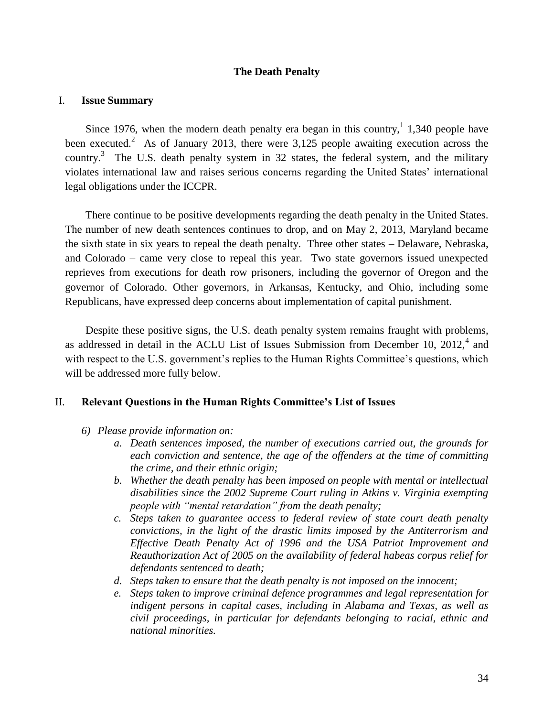## **The Death Penalty**

### <span id="page-34-0"></span>I. **Issue Summary**

Since 1976, when the modern death penalty era began in this country,<sup>1</sup> 1,340 people have been executed.<sup>2</sup> As of January 2013, there were 3,125 people awaiting execution across the country.<sup>3</sup> The U.S. death penalty system in 32 states, the federal system, and the military violates international law and raises serious concerns regarding the United States' international legal obligations under the ICCPR.

There continue to be positive developments regarding the death penalty in the United States. The number of new death sentences continues to drop, and on May 2, 2013, Maryland became the sixth state in six years to repeal the death penalty. Three other states – Delaware, Nebraska, and Colorado – came very close to repeal this year. Two state governors issued unexpected reprieves from executions for death row prisoners, including the governor of Oregon and the governor of Colorado. Other governors, in Arkansas, Kentucky, and Ohio, including some Republicans, have expressed deep concerns about implementation of capital punishment.

Despite these positive signs, the U.S. death penalty system remains fraught with problems, as addressed in detail in the ACLU List of Issues Submission from December 10,  $2012<sup>4</sup>$  and with respect to the U.S. government's replies to the Human Rights Committee's questions, which will be addressed more fully below.

## II. **Relevant Questions in the Human Rights Committee's List of Issues**

- *6) Please provide information on:*
	- *a. Death sentences imposed, the number of executions carried out, the grounds for each conviction and sentence, the age of the offenders at the time of committing the crime, and their ethnic origin;*
	- *b. Whether the death penalty has been imposed on people with mental or intellectual disabilities since the 2002 Supreme Court ruling in Atkins v. Virginia exempting people with "mental retardation" from the death penalty;*
	- *c. Steps taken to guarantee access to federal review of state court death penalty convictions, in the light of the drastic limits imposed by the Antiterrorism and Effective Death Penalty Act of 1996 and the USA Patriot Improvement and Reauthorization Act of 2005 on the availability of federal habeas corpus relief for defendants sentenced to death;*
	- *d. Steps taken to ensure that the death penalty is not imposed on the innocent;*
	- *e. Steps taken to improve criminal defence programmes and legal representation for indigent persons in capital cases, including in Alabama and Texas, as well as civil proceedings, in particular for defendants belonging to racial, ethnic and national minorities.*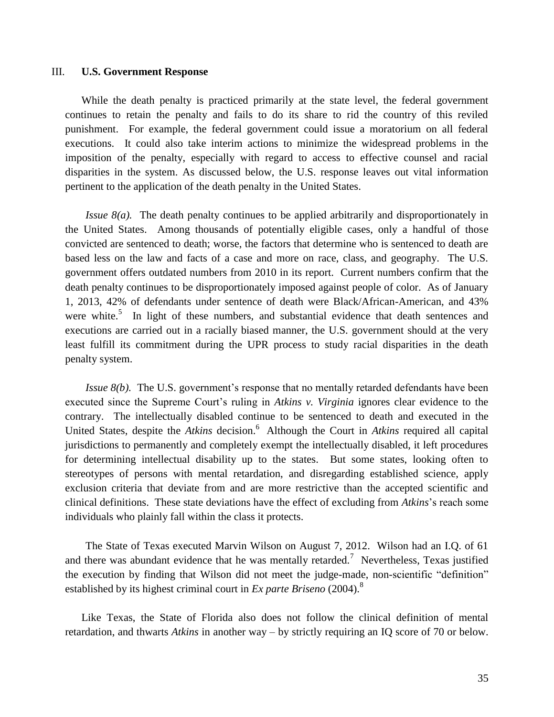#### III. **U.S. Government Response**

While the death penalty is practiced primarily at the state level, the federal government continues to retain the penalty and fails to do its share to rid the country of this reviled punishment. For example, the federal government could issue a moratorium on all federal executions. It could also take interim actions to minimize the widespread problems in the imposition of the penalty, especially with regard to access to effective counsel and racial disparities in the system. As discussed below, the U.S. response leaves out vital information pertinent to the application of the death penalty in the United States.

*Issue 8(a).* The death penalty continues to be applied arbitrarily and disproportionately in the United States. Among thousands of potentially eligible cases, only a handful of those convicted are sentenced to death; worse, the factors that determine who is sentenced to death are based less on the law and facts of a case and more on race, class, and geography. The U.S. government offers outdated numbers from 2010 in its report. Current numbers confirm that the death penalty continues to be disproportionately imposed against people of color. As of January 1, 2013, 42% of defendants under sentence of death were Black/African-American, and 43% were white.<sup>5</sup> In light of these numbers, and substantial evidence that death sentences and executions are carried out in a racially biased manner, the U.S. government should at the very least fulfill its commitment during the UPR process to study racial disparities in the death penalty system.

*Issue 8(b).* The U.S. government's response that no mentally retarded defendants have been executed since the Supreme Court's ruling in *Atkins v. Virginia* ignores clear evidence to the contrary. The intellectually disabled continue to be sentenced to death and executed in the United States, despite the *Atkins* decision.<sup>6</sup> Although the Court in *Atkins* required all capital jurisdictions to permanently and completely exempt the intellectually disabled, it left procedures for determining intellectual disability up to the states. But some states, looking often to stereotypes of persons with mental retardation, and disregarding established science, apply exclusion criteria that deviate from and are more restrictive than the accepted scientific and clinical definitions. These state deviations have the effect of excluding from *Atkins*'s reach some individuals who plainly fall within the class it protects.

The State of Texas executed Marvin Wilson on August 7, 2012. Wilson had an I.Q. of 61 and there was abundant evidence that he was mentally retarded.<sup>7</sup> Nevertheless, Texas justified the execution by finding that Wilson did not meet the judge-made, non-scientific "definition" established by its highest criminal court in *Ex parte Briseno* (2004).<sup>8</sup>

Like Texas, the State of Florida also does not follow the clinical definition of mental retardation, and thwarts *Atkins* in another way – by strictly requiring an IQ score of 70 or below.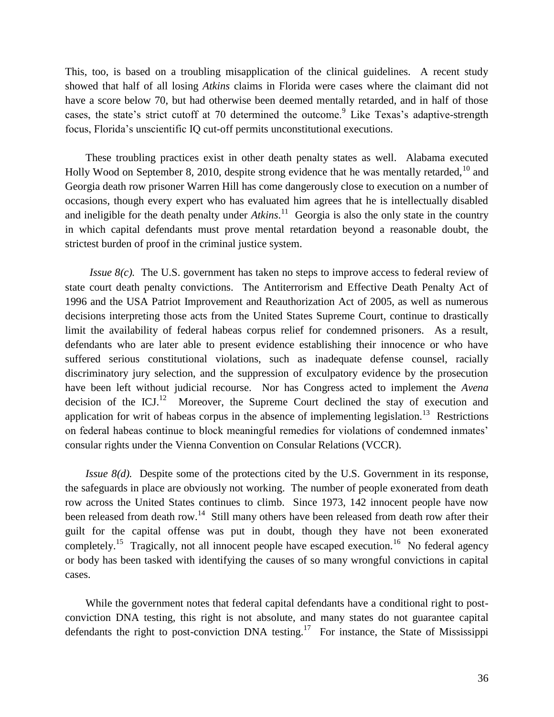This, too, is based on a troubling misapplication of the clinical guidelines. A recent study showed that half of all losing *Atkins* claims in Florida were cases where the claimant did not have a score below 70, but had otherwise been deemed mentally retarded, and in half of those cases, the state's strict cutoff at 70 determined the outcome.<sup>9</sup> Like Texas's adaptive-strength focus, Florida's unscientific IQ cut-off permits unconstitutional executions.

These troubling practices exist in other death penalty states as well. Alabama executed Holly Wood on September 8, 2010, despite strong evidence that he was mentally retarded,  $10^{\circ}$  and Georgia death row prisoner Warren Hill has come dangerously close to execution on a number of occasions, though every expert who has evaluated him agrees that he is intellectually disabled and ineligible for the death penalty under *Atkins*.<sup>11</sup> Georgia is also the only state in the country in which capital defendants must prove mental retardation beyond a reasonable doubt, the strictest burden of proof in the criminal justice system.

*Issue 8(c).* The U.S. government has taken no steps to improve access to federal review of state court death penalty convictions. The Antiterrorism and Effective Death Penalty Act of 1996 and the USA Patriot Improvement and Reauthorization Act of 2005, as well as numerous decisions interpreting those acts from the United States Supreme Court, continue to drastically limit the availability of federal habeas corpus relief for condemned prisoners. As a result, defendants who are later able to present evidence establishing their innocence or who have suffered serious constitutional violations, such as inadequate defense counsel, racially discriminatory jury selection, and the suppression of exculpatory evidence by the prosecution have been left without judicial recourse. Nor has Congress acted to implement the *Avena* decision of the ICJ.<sup>12</sup> Moreover, the Supreme Court declined the stay of execution and application for writ of habeas corpus in the absence of implementing legislation.<sup>13</sup> Restrictions on federal habeas continue to block meaningful remedies for violations of condemned inmates' consular rights under the Vienna Convention on Consular Relations (VCCR).

*Issue 8(d).* Despite some of the protections cited by the U.S. Government in its response, the safeguards in place are obviously not working. The number of people exonerated from death row across the United States continues to climb. Since 1973, 142 innocent people have now been released from death row.<sup>14</sup> Still many others have been released from death row after their guilt for the capital offense was put in doubt, though they have not been exonerated completely.<sup>15</sup> Tragically, not all innocent people have escaped execution.<sup>16</sup> No federal agency or body has been tasked with identifying the causes of so many wrongful convictions in capital cases.

While the government notes that federal capital defendants have a conditional right to postconviction DNA testing, this right is not absolute, and many states do not guarantee capital defendants the right to post-conviction DNA testing.<sup>17</sup> For instance, the State of Mississippi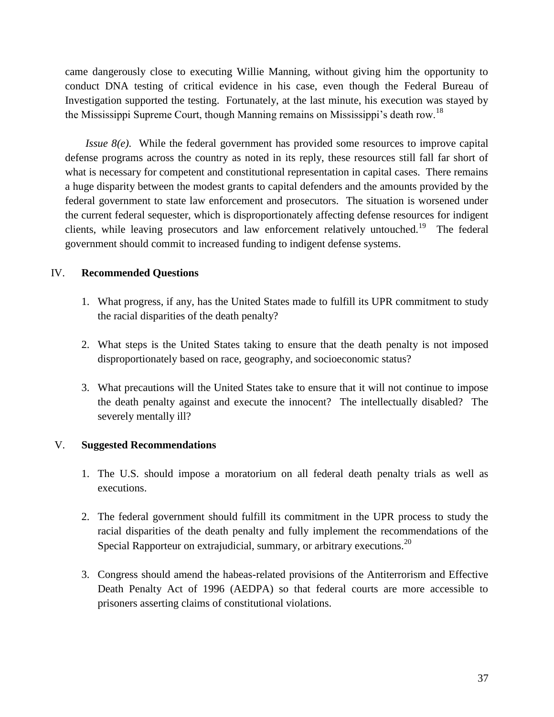came dangerously close to executing Willie Manning, without giving him the opportunity to conduct DNA testing of critical evidence in his case, even though the Federal Bureau of Investigation supported the testing. Fortunately, at the last minute, his execution was stayed by the Mississippi Supreme Court, though Manning remains on Mississippi's death row.<sup>18</sup>

*Issue 8(e).* While the federal government has provided some resources to improve capital defense programs across the country as noted in its reply, these resources still fall far short of what is necessary for competent and constitutional representation in capital cases. There remains a huge disparity between the modest grants to capital defenders and the amounts provided by the federal government to state law enforcement and prosecutors. The situation is worsened under the current federal sequester, which is disproportionately affecting defense resources for indigent clients, while leaving prosecutors and law enforcement relatively untouched.<sup>19</sup> The federal government should commit to increased funding to indigent defense systems.

## IV. **Recommended Questions**

- 1. What progress, if any, has the United States made to fulfill its UPR commitment to study the racial disparities of the death penalty?
- 2. What steps is the United States taking to ensure that the death penalty is not imposed disproportionately based on race, geography, and socioeconomic status?
- 3. What precautions will the United States take to ensure that it will not continue to impose the death penalty against and execute the innocent? The intellectually disabled? The severely mentally ill?

## V. **Suggested Recommendations**

- 1. The U.S. should impose a moratorium on all federal death penalty trials as well as executions.
- 2. The federal government should fulfill its commitment in the UPR process to study the racial disparities of the death penalty and fully implement the recommendations of the Special Rapporteur on extrajudicial, summary, or arbitrary executions.<sup>20</sup>
- 3. Congress should amend the habeas-related provisions of the Antiterrorism and Effective Death Penalty Act of 1996 (AEDPA) so that federal courts are more accessible to prisoners asserting claims of constitutional violations.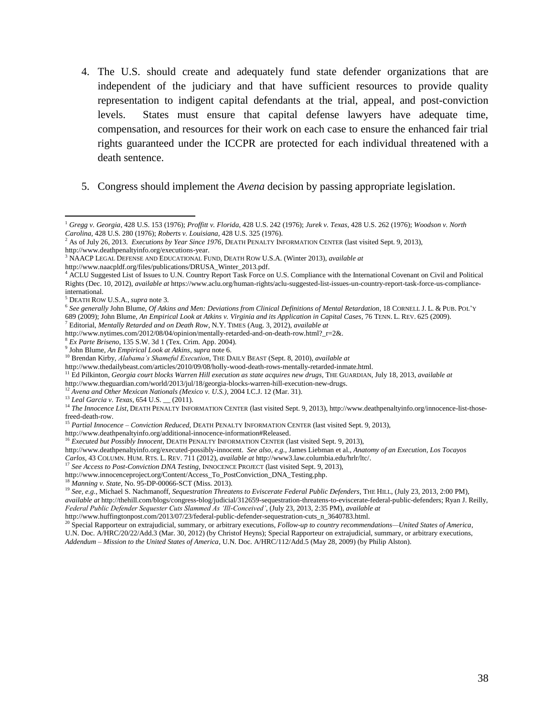- 4. The U.S. should create and adequately fund state defender organizations that are independent of the judiciary and that have sufficient resources to provide quality representation to indigent capital defendants at the trial, appeal, and post-conviction levels. States must ensure that capital defense lawyers have adequate time, compensation, and resources for their work on each case to ensure the enhanced fair trial rights guaranteed under the ICCPR are protected for each individual threatened with a death sentence.
- 5. Congress should implement the *Avena* decision by passing appropriate legislation.

[http://www.deathpenaltyinfo.org/executions-year.](http://www.deathpenaltyinfo.org/executions-year) 

 $\overline{\phantom{a}}$ 

[http://www.thedailybeast.com/articles/2010/09/08/holly-wood-death-rows-mentally-retarded-inmate.html.](http://www.thedailybeast.com/articles/2010/09/08/holly-wood-death-rows-mentally-retarded-inmate.html) 

<sup>11</sup> Ed Pilkinton, *Georgia court blocks Warren Hill execution as state acquires new drugs*, THE GUARDIAN, July 18, 2013, *available at*

[http://www.theguardian.com/world/2013/jul/18/georgia-blocks-warren-hill-execution-new-drugs.](http://www.theguardian.com/world/2013/jul/18/georgia-blocks-warren-hill-execution-new-drugs)

<sup>12</sup> Avena and Other Mexican Nationals (Mexico v. U.S.), 2004 I.C.J. 12 (Mar. 31).

<sup>13</sup> *Leal Garcia v. Texas*, 654 U.S. \_\_ (2011).

<sup>15</sup> *Partial Innocence – Conviction Reduced*, DEATH PENALTY INFORMATION CENTER (last visited Sept. 9, 2013),

[http://www.deathpenaltyinfo.org/additional-innocence-information#Released.](http://www.deathpenaltyinfo.org/additional-innocence-information#Released) 

<sup>16</sup> Executed but Possibly Innocent, DEATH PENALTY INFORMATION CENTER (last visited Sept. 9, 2013),

<sup>17</sup> See Access to Post-Conviction DNA Testing, INNOCENCE PROJECT (last visited Sept. 9, 2013),

[http://www.innocenceproject.org/Content/Access\\_To\\_PostConviction\\_DNA\\_Testing.php.](http://www.innocenceproject.org/Content/Access_To_PostConviction_DNA_Testing.php) 

<sup>18</sup> *Manning v. State*, No. 95-DP-00066-SCT (Miss. 2013).

<sup>19</sup> See, e.g., Michael S. Nachmanoff, *Sequestration Threatens to Eviscerate Federal Public Defenders*, THE HILL, (July 23, 2013, 2:00 PM), *available at* [http://thehill.com/blogs/congress-blog/judicial/312659-sequestration-threatens-to-eviscerate-federal-public-defenders;](http://thehill.com/blogs/congress-blog/judicial/312659-sequestration-threatens-to-eviscerate-federal-public-defenders) Ryan J. Reilly, *Federal Public Defender Sequester Cuts Slammed As 'Ill-Conceived'*, (July 23, 2013, 2:35 PM), *available at*  [http://www.huffingtonpost.com/2013/07/23/federal-public-defender-sequestration-cuts\\_n\\_3640783.html.](http://www.huffingtonpost.com/2013/07/23/federal-public-defender-sequestration-cuts_n_3640783.html)

<sup>20</sup> Special Rapporteur on extrajudicial, summary, or arbitrary executions, *Follow-up to country recommendations—United States of America*, U.N. Doc. A/HRC/20/22/Add.3 (Mar. 30, 2012) (by Christof Heyns); Special Rapporteur on extrajudicial, summary, or arbitrary executions, *Addendum – Mission to the United States of America*, U.N. Doc. A/HRC/112/Add.5 (May 28, 2009) (by Philip Alston).

<sup>1</sup> *Gregg v. Georgia*, 428 U.S. 153 (1976); *Proffitt v. Florida*, 428 U.S. 242 (1976); *Jurek v. Texas*, 428 U.S. 262 (1976); *Woodson v. North Carolina*, 428 U.S. 280 (1976); *Roberts v. Louisiana*, 428 U.S. 325 (1976).

<sup>2</sup> As of July 26, 2013. *Executions by Year Since 1976*, DEATH PENALTY INFORMATION CENTER (last visited Sept. 9, 2013),

<sup>3</sup> NAACP LEGAL DEFENSE AND EDUCATIONAL FUND, DEATH ROW U.S.A. (Winter 2013), *available at*

[http://www.naacpldf.org/files/publications/DRUSA\\_Winter\\_2013.pdf.](http://www.naacpldf.org/files/publications/DRUSA_Winter_2013.pdf)

<sup>4</sup> ACLU Suggested List of Issues to U.N. Country Report Task Force on U.S. Compliance with the International Covenant on Civil and Political Rights (Dec. 10, 2012), *available at* [https://www.aclu.org/human-rights/aclu-suggested-list-issues-un-country-report-task-force-us-compliance](https://www.aclu.org/human-rights/aclu-suggested-list-issues-un-country-report-task-force-us-compliance-international)[international.](https://www.aclu.org/human-rights/aclu-suggested-list-issues-un-country-report-task-force-us-compliance-international) 

<sup>5</sup> DEATH ROW U.S.A., *supra* note 3.

<sup>6</sup> *See generally* John Blume, *Of Atkins and Men: Deviations from Clinical Definitions of Mental Retardation*, 18 CORNELL J. L. & PUB. POL'Y 689 (2009); John Blume, *An Empirical Look at Atkins v. Virginia and its Application in Capital Cases*, 76 TENN. L. REV. 625 (2009). <sup>7</sup> Editorial, *Mentally Retarded and on Death Row*, N.Y. TIMES (Aug. 3, 2012), *available at* 

[http://www.nytimes.com/2012/08/04/opinion/mentally-retarded-and-on-death-row.html?\\_r=2&.](http://www.nytimes.com/2012/08/04/opinion/mentally-retarded-and-on-death-row.html?_r=2&) 

<sup>8</sup> *Ex Parte Briseno*, 135 S.W. 3d 1 (Tex. Crim. App. 2004).

<sup>9</sup> John Blume, *An Empirical Look at Atkins*, *supra* note 6.

<sup>10</sup> Brendan Kirby, *Alabama's Shameful Execution*, THE DAILY BEAST (Sept. 8, 2010), *available at* 

<sup>&</sup>lt;sup>14</sup> The Innocence List, DEATH PENALTY INFORMATION CENTER (last visited Sept. 9, 2013)[, http://www.deathpenaltyinfo.org/innocence-list-those](http://www.deathpenaltyinfo.org/innocence-list-those-freed-death-row)[freed-death-row.](http://www.deathpenaltyinfo.org/innocence-list-those-freed-death-row) 

http://www.deathpenaltyinfo.org/executed-possibly-innocent. *See also, e.g.*, James Liebman et al., *Anatomy of an Execution, Los Tocayos Carlos*, 43 COLUMN. HUM. RTS. L. REV. 711 (2012), *available at* [http://www3.law.columbia.edu/hrlr/ltc/.](http://www3.law.columbia.edu/hrlr/ltc/)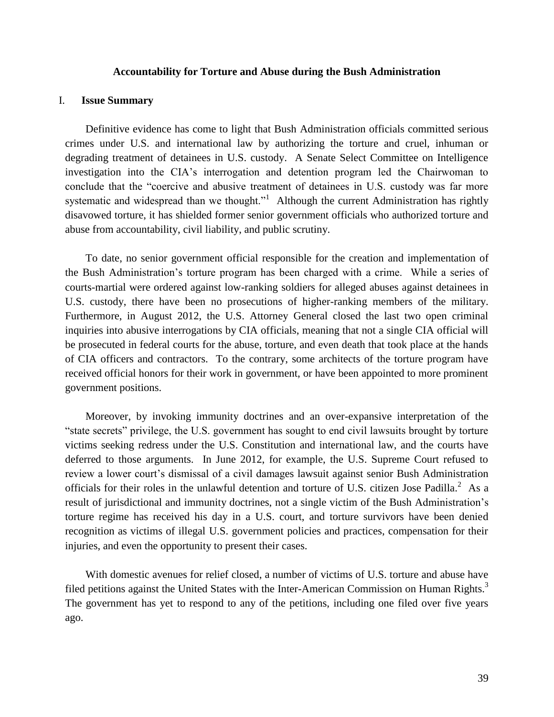#### **Accountability for Torture and Abuse during the Bush Administration**

### <span id="page-39-0"></span>I. **Issue Summary**

Definitive evidence has come to light that Bush Administration officials committed serious crimes under U.S. and international law by authorizing the torture and cruel, inhuman or degrading treatment of detainees in U.S. custody. A Senate Select Committee on Intelligence investigation into the CIA's interrogation and detention program led the Chairwoman to conclude that the "coercive and abusive treatment of detainees in U.S. custody was far more systematic and widespread than we thought."<sup>1</sup> Although the current Administration has rightly disavowed torture, it has shielded former senior government officials who authorized torture and abuse from accountability, civil liability, and public scrutiny.

To date, no senior government official responsible for the creation and implementation of the Bush Administration's torture program has been charged with a crime. While a series of courts-martial were ordered against low-ranking soldiers for alleged abuses against detainees in U.S. custody, there have been no prosecutions of higher-ranking members of the military. Furthermore, in August 2012, the U.S. Attorney General closed the last two open criminal inquiries into abusive interrogations by CIA officials, meaning that not a single CIA official will be prosecuted in federal courts for the abuse, torture, and even death that took place at the hands of CIA officers and contractors. To the contrary, some architects of the torture program have received official honors for their work in government, or have been appointed to more prominent government positions.

Moreover, by invoking immunity doctrines and an over-expansive interpretation of the "state secrets" privilege, the U.S. government has sought to end civil lawsuits brought by torture victims seeking redress under the U.S. Constitution and international law, and the courts have deferred to those arguments. In June 2012, for example, the U.S. Supreme Court refused to review a lower court's dismissal of a civil damages lawsuit against senior Bush Administration officials for their roles in the unlawful detention and torture of U.S. citizen Jose Padilla.<sup>2</sup> As a result of jurisdictional and immunity doctrines, not a single victim of the Bush Administration's torture regime has received his day in a U.S. court, and torture survivors have been denied recognition as victims of illegal U.S. government policies and practices, compensation for their injuries, and even the opportunity to present their cases.

With domestic avenues for relief closed, a number of victims of U.S. torture and abuse have filed petitions against the United States with the Inter-American Commission on Human Rights.<sup>3</sup> The government has yet to respond to any of the petitions, including one filed over five years ago.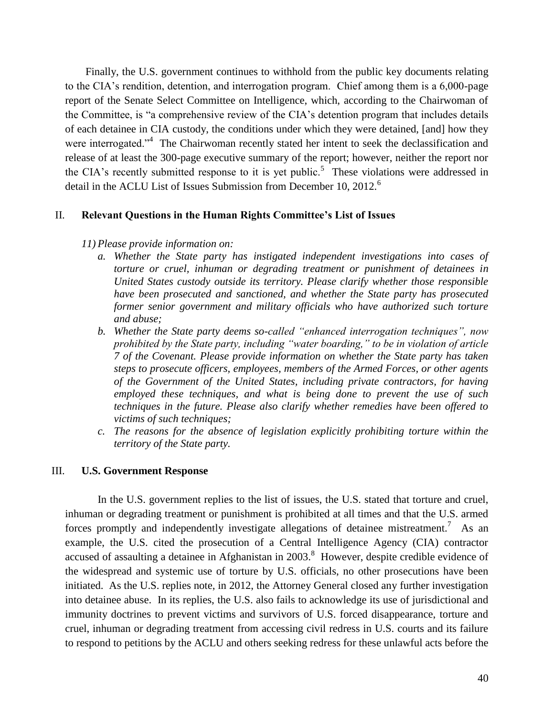Finally, the U.S. government continues to withhold from the public key documents relating to the CIA's rendition, detention, and interrogation program. Chief among them is a 6,000-page report of the Senate Select Committee on Intelligence, which, according to the Chairwoman of the Committee, is "a comprehensive review of the CIA's detention program that includes details of each detainee in CIA custody, the conditions under which they were detained, [and] how they were interrogated."<sup>4</sup> The Chairwoman recently stated her intent to seek the declassification and release of at least the 300-page executive summary of the report; however, neither the report nor the CIA's recently submitted response to it is yet public.<sup>5</sup> These violations were addressed in detail in the ACLU List of Issues Submission from December 10, 2012.<sup>6</sup>

### II. **Relevant Questions in the Human Rights Committee's List of Issues**

### *11) Please provide information on:*

- *a. Whether the State party has instigated independent investigations into cases of torture or cruel, inhuman or degrading treatment or punishment of detainees in United States custody outside its territory. Please clarify whether those responsible have been prosecuted and sanctioned, and whether the State party has prosecuted former senior government and military officials who have authorized such torture and abuse;*
- *b. Whether the State party deems so-called "enhanced interrogation techniques", now prohibited by the State party, including "water boarding," to be in violation of article 7 of the Covenant. Please provide information on whether the State party has taken steps to prosecute officers, employees, members of the Armed Forces, or other agents of the Government of the United States, including private contractors, for having employed these techniques, and what is being done to prevent the use of such techniques in the future. Please also clarify whether remedies have been offered to victims of such techniques;*
- *c. The reasons for the absence of legislation explicitly prohibiting torture within the territory of the State party.*

#### III. **U.S. Government Response**

In the U.S. government replies to the list of issues, the U.S. stated that torture and cruel, inhuman or degrading treatment or punishment is prohibited at all times and that the U.S. armed forces promptly and independently investigate allegations of detainee mistreatment.<sup>7</sup> As an example, the U.S. cited the prosecution of a Central Intelligence Agency (CIA) contractor accused of assaulting a detainee in Afghanistan in  $2003$ .<sup>8</sup> However, despite credible evidence of the widespread and systemic use of torture by U.S. officials, no other prosecutions have been initiated. As the U.S. replies note, in 2012, the Attorney General closed any further investigation into detainee abuse. In its replies, the U.S. also fails to acknowledge its use of jurisdictional and immunity doctrines to prevent victims and survivors of U.S. forced disappearance, torture and cruel, inhuman or degrading treatment from accessing civil redress in U.S. courts and its failure to respond to petitions by the ACLU and others seeking redress for these unlawful acts before the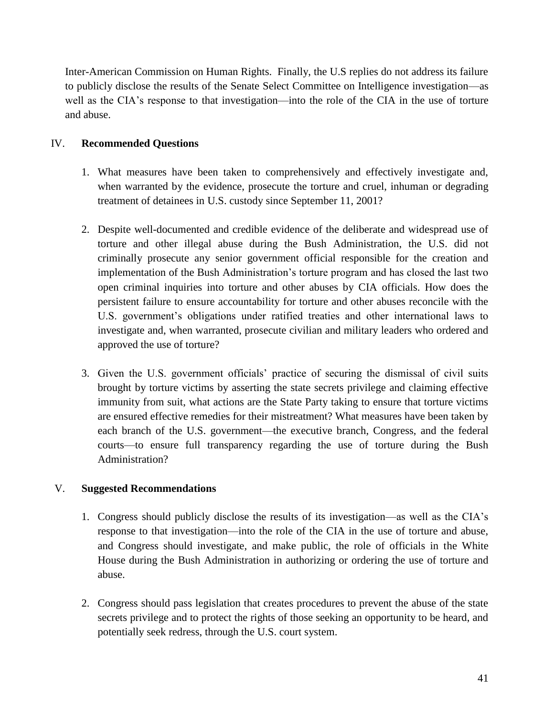Inter-American Commission on Human Rights. Finally, the U.S replies do not address its failure to publicly disclose the results of the Senate Select Committee on Intelligence investigation—as well as the CIA's response to that investigation—into the role of the CIA in the use of torture and abuse.

# IV. **Recommended Questions**

- 1. What measures have been taken to comprehensively and effectively investigate and, when warranted by the evidence, prosecute the torture and cruel, inhuman or degrading treatment of detainees in U.S. custody since September 11, 2001?
- 2. Despite well-documented and credible evidence of the deliberate and widespread use of torture and other illegal abuse during the Bush Administration, the U.S. did not criminally prosecute any senior government official responsible for the creation and implementation of the Bush Administration's torture program and has closed the last two open criminal inquiries into torture and other abuses by CIA officials. How does the persistent failure to ensure accountability for torture and other abuses reconcile with the U.S. government's obligations under ratified treaties and other international laws to investigate and, when warranted, prosecute civilian and military leaders who ordered and approved the use of torture?
- 3. Given the U.S. government officials' practice of securing the dismissal of civil suits brought by torture victims by asserting the state secrets privilege and claiming effective immunity from suit, what actions are the State Party taking to ensure that torture victims are ensured effective remedies for their mistreatment? What measures have been taken by each branch of the U.S. government—the executive branch, Congress, and the federal courts—to ensure full transparency regarding the use of torture during the Bush Administration?

# V. **Suggested Recommendations**

- 1. Congress should publicly disclose the results of its investigation—as well as the CIA's response to that investigation—into the role of the CIA in the use of torture and abuse, and Congress should investigate, and make public, the role of officials in the White House during the Bush Administration in authorizing or ordering the use of torture and abuse.
- 2. Congress should pass legislation that creates procedures to prevent the abuse of the state secrets privilege and to protect the rights of those seeking an opportunity to be heard, and potentially seek redress, through the U.S. court system.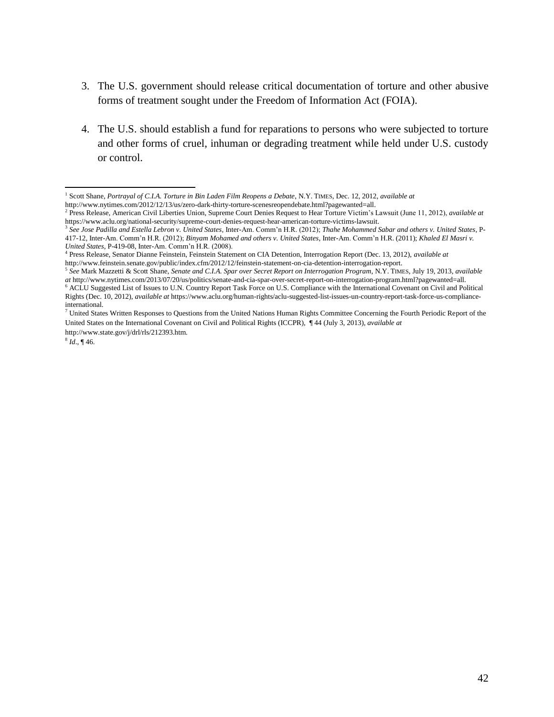- 3. The U.S. government should release critical documentation of torture and other abusive forms of treatment sought under the Freedom of Information Act (FOIA).
- 4. The U.S. should establish a fund for reparations to persons who were subjected to torture and other forms of cruel, inhuman or degrading treatment while held under U.S. custody or control.

 1 Scott Shane, *Portrayal of C.I.A. Torture in Bin Laden Film Reopens a Debate*, N.Y. TIMES, Dec. 12, 2012, *available at*

[http://www.nytimes.com/2012/12/13/us/zero-dark-thirty-torture-scenesreopendebate.html?pagewanted=all.](http://www.nytimes.com/2012/12/13/us/zero-dark-thirty-torture-scenesreopendebate.html?pagewanted=all)

<sup>2</sup> Press Release, American Civil Liberties Union, Supreme Court Denies Request to Hear Torture Victim's Lawsuit (June 11, 2012), *available at* [https://www.aclu.org/national-security/supreme-court-denies-request-hear-american-torture-victims-lawsuit.](https://www.aclu.org/national-security/supreme-court-denies-request-hear-american-torture-victims-lawsuit)

<sup>3</sup> *See Jose Padilla and Estella Lebron v. United States*, Inter-Am. Comm'n H.R. (2012); *Thahe Mohammed Sabar and others v. United States*, P-417-12, Inter-Am. Comm'n H.R. (2012); *Binyam Mohamed and others v. United States*, Inter-Am. Comm'n H.R. (2011); *Khaled El Masri v. United States*, P-419-08, Inter-Am. Comm'n H.R. (2008).

<sup>4</sup> Press Release, Senator Dianne Feinstein, Feinstein Statement on CIA Detention, Interrogation Report (Dec. 13, 2012), *available at* [http://www.feinstein.senate.gov/public/index.cfm/2012/12/feinstein-statement-on-cia-detention-interrogation-report.](http://www.feinstein.senate.gov/public/index.cfm/2012/12/feinstein-statement-on-cia-detention-interrogation-report)

<sup>5</sup> *See* Mark Mazzetti & Scott Shane, *Senate and C.I.A. Spar over Secret Report on Interrogation Program*, N.Y. TIMES, July 19, 2013, *available at* [http://www.nytimes.com/2013/07/20/us/politics/senate-and-cia-spar-over-secret-report-on-interrogation-program.html?pagewanted=all.](http://www.nytimes.com/2013/07/20/us/politics/senate-and-cia-spar-over-secret-report-on-interrogation-program.html?pagewanted=all)

<sup>6</sup> ACLU Suggested List of Issues to U.N. Country Report Task Force on U.S. Compliance with the International Covenant on Civil and Political Rights (Dec. 10, 2012), *available at* [https://www.aclu.org/human-rights/aclu-suggested-list-issues-un-country-report-task-force-us-compliance](https://www.aclu.org/human-rights/aclu-suggested-list-issues-un-country-report-task-force-us-compliance-international)[international.](https://www.aclu.org/human-rights/aclu-suggested-list-issues-un-country-report-task-force-us-compliance-international) 

 $7$  United States Written Responses to Questions from the United Nations Human Rights Committee Concerning the Fourth Periodic Report of the United States on the International Covenant on Civil and Political Rights (ICCPR), ¶ 44 (July 3, 2013), *available at*

http://www.state.gov/j/drl/rls/212393.htm.

 $^{8}$  *Id.*, ¶ 46.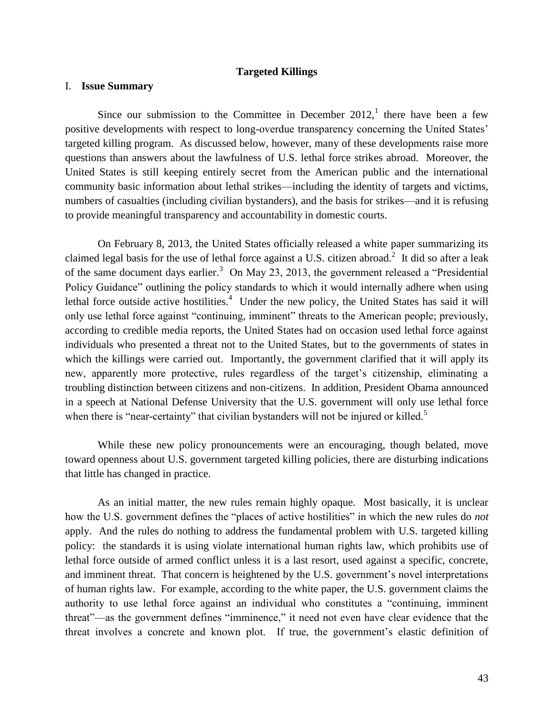### **Targeted Killings**

### <span id="page-43-0"></span>I. **Issue Summary**

Since our submission to the Committee in December  $2012$ , there have been a few positive developments with respect to long-overdue transparency concerning the United States' targeted killing program. As discussed below, however, many of these developments raise more questions than answers about the lawfulness of U.S. lethal force strikes abroad. Moreover, the United States is still keeping entirely secret from the American public and the international community basic information about lethal strikes—including the identity of targets and victims, numbers of casualties (including civilian bystanders), and the basis for strikes—and it is refusing to provide meaningful transparency and accountability in domestic courts.

On February 8, 2013, the United States officially released a white paper summarizing its claimed legal basis for the use of lethal force against a U.S. citizen abroad.<sup>2</sup> It did so after a leak of the same document days earlier.<sup>3</sup> On May 23, 2013, the government released a "Presidential" Policy Guidance" outlining the policy standards to which it would internally adhere when using lethal force outside active hostilities.<sup>4</sup> Under the new policy, the United States has said it will only use lethal force against "continuing, imminent" threats to the American people; previously, according to credible media reports, the United States had on occasion used lethal force against individuals who presented a threat not to the United States, but to the governments of states in which the killings were carried out. Importantly, the government clarified that it will apply its new, apparently more protective, rules regardless of the target's citizenship, eliminating a troubling distinction between citizens and non-citizens. In addition, President Obama announced in a speech at National Defense University that the U.S. government will only use lethal force when there is "near-certainty" that civilian bystanders will not be injured or killed.<sup>5</sup>

While these new policy pronouncements were an encouraging, though belated, move toward openness about U.S. government targeted killing policies, there are disturbing indications that little has changed in practice.

As an initial matter, the new rules remain highly opaque. Most basically, it is unclear how the U.S. government defines the "places of active hostilities" in which the new rules do *not* apply. And the rules do nothing to address the fundamental problem with U.S. targeted killing policy: the standards it is using violate international human rights law, which prohibits use of lethal force outside of armed conflict unless it is a last resort, used against a specific, concrete, and imminent threat. That concern is heightened by the U.S. government's novel interpretations of human rights law. For example, according to the white paper, the U.S. government claims the authority to use lethal force against an individual who constitutes a "continuing, imminent threat"—as the government defines "imminence," it need not even have clear evidence that the threat involves a concrete and known plot. If true, the government's elastic definition of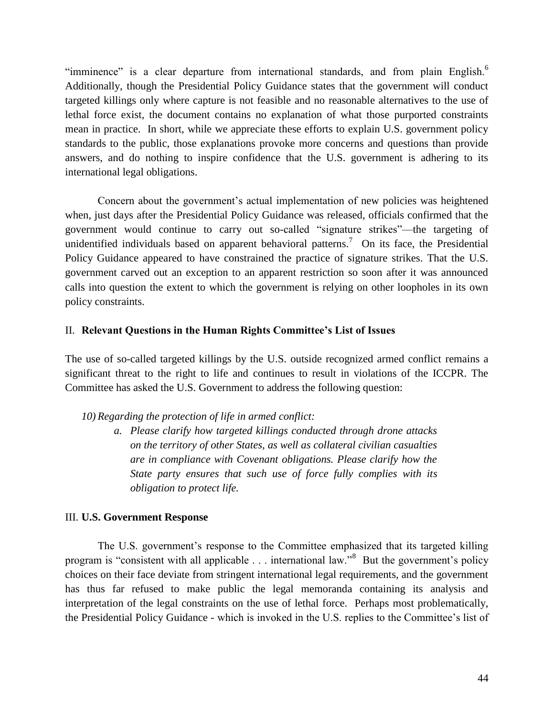"imminence" is a clear departure from international standards, and from plain English.<sup>6</sup> Additionally, though the Presidential Policy Guidance states that the government will conduct targeted killings only where capture is not feasible and no reasonable alternatives to the use of lethal force exist, the document contains no explanation of what those purported constraints mean in practice. In short, while we appreciate these efforts to explain U.S. government policy standards to the public, those explanations provoke more concerns and questions than provide answers, and do nothing to inspire confidence that the U.S. government is adhering to its international legal obligations.

Concern about the government's actual implementation of new policies was heightened when, just days after the Presidential Policy Guidance was released, officials confirmed that the government would continue to carry out so-called "signature strikes"—the targeting of unidentified individuals based on apparent behavioral patterns.<sup>7</sup> On its face, the Presidential Policy Guidance appeared to have constrained the practice of signature strikes. That the U.S. government carved out an exception to an apparent restriction so soon after it was announced calls into question the extent to which the government is relying on other loopholes in its own policy constraints.

## II. **Relevant Questions in the Human Rights Committee's List of Issues**

The use of so-called targeted killings by the U.S. outside recognized armed conflict remains a significant threat to the right to life and continues to result in violations of the ICCPR. The Committee has asked the U.S. Government to address the following question:

*10) Regarding the protection of life in armed conflict:*

*a. Please clarify how targeted killings conducted through drone attacks on the territory of other States, as well as collateral civilian casualties are in compliance with Covenant obligations. Please clarify how the State party ensures that such use of force fully complies with its obligation to protect life.* 

### III. **U.S. Government Response**

The U.S. government's response to the Committee emphasized that its targeted killing program is "consistent with all applicable . . . international law."<sup>8</sup> But the government's policy choices on their face deviate from stringent international legal requirements, and the government has thus far refused to make public the legal memoranda containing its analysis and interpretation of the legal constraints on the use of lethal force. Perhaps most problematically, the Presidential Policy Guidance - which is invoked in the U.S. replies to the Committee's list of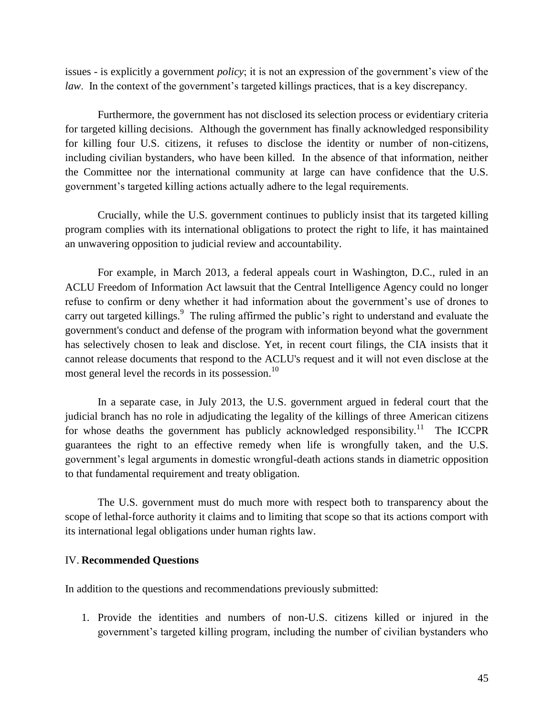issues - is explicitly a government *policy*; it is not an expression of the government's view of the *law*. In the context of the government's targeted killings practices, that is a key discrepancy.

Furthermore, the government has not disclosed its selection process or evidentiary criteria for targeted killing decisions. Although the government has finally acknowledged responsibility for killing four U.S. citizens, it refuses to disclose the identity or number of non-citizens, including civilian bystanders, who have been killed. In the absence of that information, neither the Committee nor the international community at large can have confidence that the U.S. government's targeted killing actions actually adhere to the legal requirements.

Crucially, while the U.S. government continues to publicly insist that its targeted killing program complies with its international obligations to protect the right to life, it has maintained an unwavering opposition to judicial review and accountability.

For example, in March 2013, a federal appeals court in Washington, D.C., ruled in an ACLU Freedom of Information Act lawsuit that the Central Intelligence Agency could no longer refuse to confirm or deny whether it had information about the government's use of drones to carry out targeted killings.<sup>9</sup> The ruling affirmed the public's right to understand and evaluate the government's conduct and defense of the program with information beyond what the government has selectively chosen to leak and disclose. Yet, in recent court filings, the CIA insists that it cannot release documents that respond to the ACLU's request and it will not even disclose at the most general level the records in its possession. $^{10}$ 

In a separate case, in July 2013, the U.S. government argued in federal court that the judicial branch has no role in adjudicating the legality of the killings of three American citizens for whose deaths the government has publicly acknowledged responsibility.<sup>11</sup> The ICCPR guarantees the right to an effective remedy when life is wrongfully taken, and the U.S. government's legal arguments in domestic wrongful-death actions stands in diametric opposition to that fundamental requirement and treaty obligation.

The U.S. government must do much more with respect both to transparency about the scope of lethal-force authority it claims and to limiting that scope so that its actions comport with its international legal obligations under human rights law.

### IV. **Recommended Questions**

In addition to the questions and recommendations previously submitted:

1. Provide the identities and numbers of non-U.S. citizens killed or injured in the government's targeted killing program, including the number of civilian bystanders who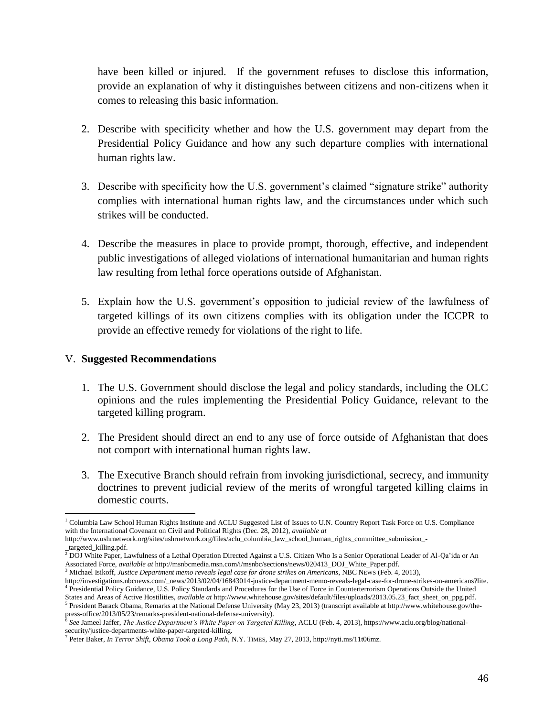have been killed or injured. If the government refuses to disclose this information, provide an explanation of why it distinguishes between citizens and non-citizens when it comes to releasing this basic information.

- 2. Describe with specificity whether and how the U.S. government may depart from the Presidential Policy Guidance and how any such departure complies with international human rights law.
- 3. Describe with specificity how the U.S. government's claimed "signature strike" authority complies with international human rights law, and the circumstances under which such strikes will be conducted.
- 4. Describe the measures in place to provide prompt, thorough, effective, and independent public investigations of alleged violations of international humanitarian and human rights law resulting from lethal force operations outside of Afghanistan.
- 5. Explain how the U.S. government's opposition to judicial review of the lawfulness of targeted killings of its own citizens complies with its obligation under the ICCPR to provide an effective remedy for violations of the right to life.

## V. **Suggested Recommendations**

- 1. The U.S. Government should disclose the legal and policy standards, including the OLC opinions and the rules implementing the Presidential Policy Guidance, relevant to the targeted killing program.
- 2. The President should direct an end to any use of force outside of Afghanistan that does not comport with international human rights law.
- 3. The Executive Branch should refrain from invoking jurisdictional, secrecy, and immunity doctrines to prevent judicial review of the merits of wrongful targeted killing claims in domestic courts.

 $\overline{\phantom{a}}$ <sup>1</sup> Columbia Law School Human Rights Institute and ACLU Suggested List of Issues to U.N. Country Report Task Force on U.S. Compliance with the International Covenant on Civil and Political Rights (Dec. 28, 2012), *available at*

http://www.ushrnetwork.org/sites/ushrnetwork.org/files/aclu\_columbia\_law\_school\_human\_rights\_committee\_submission\_- \_targeted\_killing.pdf.

<sup>&</sup>lt;sup>2</sup> DOJ White Paper, Lawfulness of a Lethal Operation Directed Against a U.S. Citizen Who Is a Senior Operational Leader of Al-Qa'ida or An Associated Force, *available at* http://msnbcmedia.msn.com/i/msnbc/sections/news/020413\_DOJ\_White\_Paper.pdf.

<sup>3</sup> Michael Isikoff, *Justice Department memo reveals legal case for drone strikes on Americans*, NBC NEWS (Feb. 4, 2013),

http://investigations.nbcnews.com/\_news/2013/02/04/16843014-justice-department-memo-reveals-legal-case-for-drone-strikes-on-americans?lite. 4 Presidential Policy Guidance, U.S. Policy Standards and Procedures for the Use of Force in Counterterrorism Operations Outside the United States and Areas of Active Hostilities, *available at* http://www.whitehouse.gov/sites/default/files/uploads/2013.05.23\_fact\_sheet\_on\_ppg.pdf.

<sup>&</sup>lt;sup>5</sup> President Barack Obama, Remarks at the National Defense University (May 23, 2013) (transcript available at http://www.whitehouse.gov/the-

press-office/2013/05/23/remarks-president-national-defense-university). 6 *See* Jameel Jaffer, *The Justice Department's White Paper on Targeted Killing*, ACLU (Feb. 4, 2013), https://www.aclu.org/blog/nationalsecurity/justice-departments-white-paper-targeted-killing.<br><sup>7</sup> Peter Baken, In Tannan Shift, Ohanna Taak a Lang Rath.

Peter Baker, *In Terror Shift, Obama Took a Long Path*, N.Y. TIMES, May 27, 2013, http://nyti.ms/11t06mz.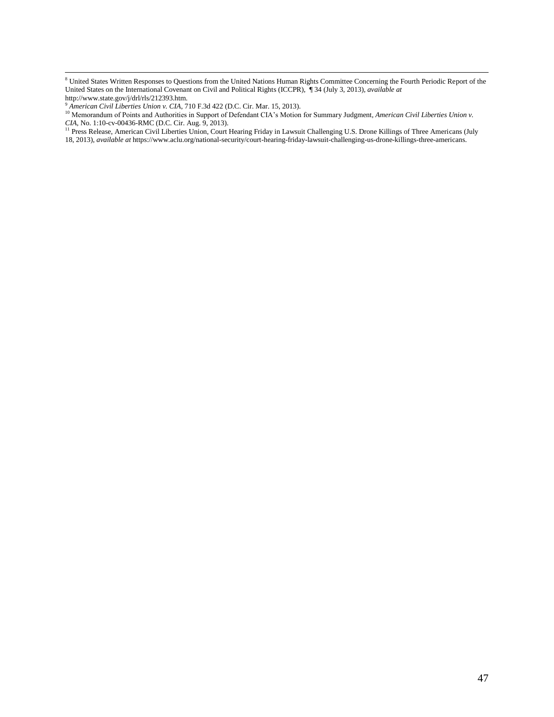$\overline{\phantom{a}}$ 

<sup>&</sup>lt;sup>8</sup> United States Written Responses to Questions from the United Nations Human Rights Committee Concerning the Fourth Periodic Report of the United States on the International Covenant on Civil and Political Rights (ICCPR), ¶ 34 (July 3, 2013), *available at* http://www.state.gov/j/drl/rls/212393.htm.

<sup>9</sup> *American Civil Liberties Union v. CIA*, 710 F.3d 422 (D.C. Cir. Mar. 15, 2013).

<sup>10</sup> Memorandum of Points and Authorities in Support of Defendant CIA's Motion for Summary Judgment, *American Civil Liberties Union v. CIA*, No. 1:10-cv-00436-RMC (D.C. Cir. Aug. 9, 2013).

<sup>&</sup>lt;sup>11</sup> Press Release, American Civil Liberties Union, Court Hearing Friday in Lawsuit Challenging U.S. Drone Killings of Three Americans (July 18, 2013), *available at* https://www.aclu.org/national-security/court-hearing-friday-lawsuit-challenging-us-drone-killings-three-americans.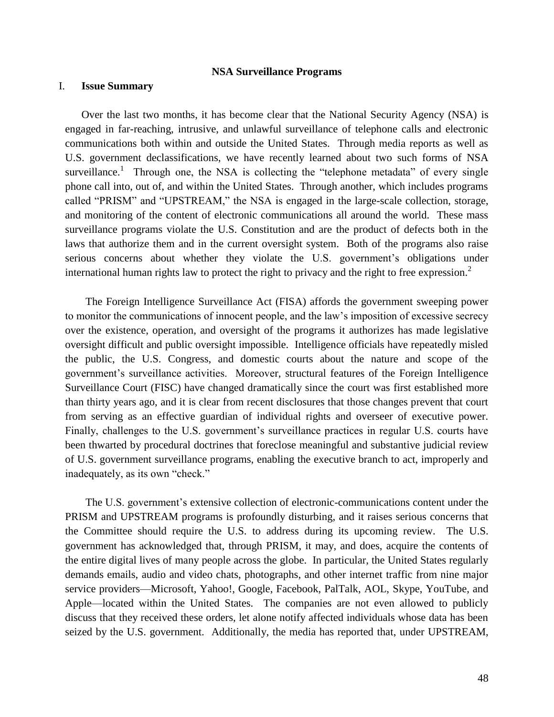### **NSA Surveillance Programs**

#### <span id="page-48-0"></span>I. **Issue Summary**

Over the last two months, it has become clear that the National Security Agency (NSA) is engaged in far-reaching, intrusive, and unlawful surveillance of telephone calls and electronic communications both within and outside the United States. Through media reports as well as U.S. government declassifications, we have recently learned about two such forms of NSA surveillance.<sup>1</sup> Through one, the NSA is collecting the "telephone metadata" of every single phone call into, out of, and within the United States. Through another, which includes programs called "PRISM" and "UPSTREAM," the NSA is engaged in the large-scale collection, storage, and monitoring of the content of electronic communications all around the world. These mass surveillance programs violate the U.S. Constitution and are the product of defects both in the laws that authorize them and in the current oversight system. Both of the programs also raise serious concerns about whether they violate the U.S. government's obligations under international human rights law to protect the right to privacy and the right to free expression. $2$ 

The Foreign Intelligence Surveillance Act (FISA) affords the government sweeping power to monitor the communications of innocent people, and the law's imposition of excessive secrecy over the existence, operation, and oversight of the programs it authorizes has made legislative oversight difficult and public oversight impossible. Intelligence officials have repeatedly misled the public, the U.S. Congress, and domestic courts about the nature and scope of the government's surveillance activities. Moreover, structural features of the Foreign Intelligence Surveillance Court (FISC) have changed dramatically since the court was first established more than thirty years ago, and it is clear from recent disclosures that those changes prevent that court from serving as an effective guardian of individual rights and overseer of executive power. Finally, challenges to the U.S. government's surveillance practices in regular U.S. courts have been thwarted by procedural doctrines that foreclose meaningful and substantive judicial review of U.S. government surveillance programs, enabling the executive branch to act, improperly and inadequately, as its own "check."

The U.S. government's extensive collection of electronic-communications content under the PRISM and UPSTREAM programs is profoundly disturbing, and it raises serious concerns that the Committee should require the U.S. to address during its upcoming review. The U.S. government has acknowledged that, through PRISM, it may, and does, acquire the contents of the entire digital lives of many people across the globe. In particular, the United States regularly demands emails, audio and video chats, photographs, and other internet traffic from nine major service providers—Microsoft, Yahoo!, Google, Facebook, PalTalk, AOL, Skype, YouTube, and Apple—located within the United States. The companies are not even allowed to publicly discuss that they received these orders, let alone notify affected individuals whose data has been seized by the U.S. government. Additionally, the media has reported that, under UPSTREAM,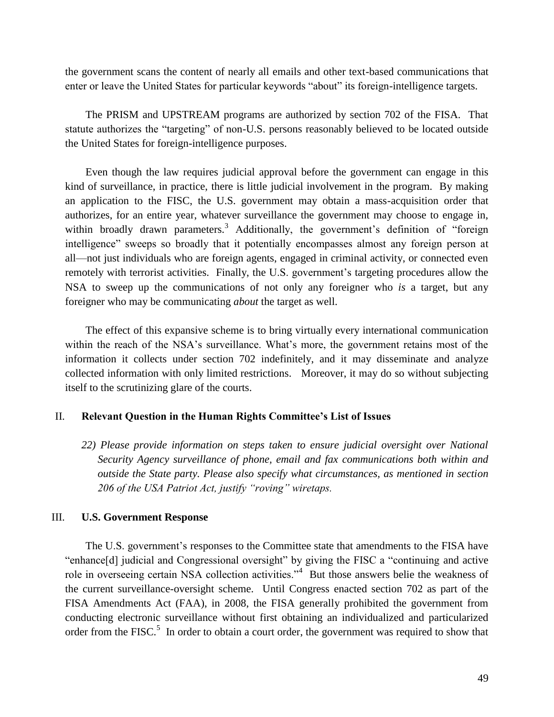the government scans the content of nearly all emails and other text-based communications that enter or leave the United States for particular keywords "about" its foreign-intelligence targets.

The PRISM and UPSTREAM programs are authorized by section 702 of the FISA. That statute authorizes the "targeting" of non-U.S. persons reasonably believed to be located outside the United States for foreign-intelligence purposes.

Even though the law requires judicial approval before the government can engage in this kind of surveillance, in practice, there is little judicial involvement in the program. By making an application to the FISC, the U.S. government may obtain a mass-acquisition order that authorizes, for an entire year, whatever surveillance the government may choose to engage in, within broadly drawn parameters.<sup>3</sup> Additionally, the government's definition of "foreign" intelligence" sweeps so broadly that it potentially encompasses almost any foreign person at all—not just individuals who are foreign agents, engaged in criminal activity, or connected even remotely with terrorist activities. Finally, the U.S. government's targeting procedures allow the NSA to sweep up the communications of not only any foreigner who *is* a target, but any foreigner who may be communicating *about* the target as well.

The effect of this expansive scheme is to bring virtually every international communication within the reach of the NSA's surveillance. What's more, the government retains most of the information it collects under section 702 indefinitely, and it may disseminate and analyze collected information with only limited restrictions. Moreover, it may do so without subjecting itself to the scrutinizing glare of the courts.

### II. **Relevant Question in the Human Rights Committee's List of Issues**

*22) Please provide information on steps taken to ensure judicial oversight over National Security Agency surveillance of phone, email and fax communications both within and outside the State party. Please also specify what circumstances, as mentioned in section 206 of the USA Patriot Act, justify "roving" wiretaps.*

### III. **U.S. Government Response**

The U.S. government's responses to the Committee state that amendments to the FISA have "enhance[d] judicial and Congressional oversight" by giving the FISC a "continuing and active role in overseeing certain NSA collection activities."<sup>4</sup> But those answers belie the weakness of the current surveillance-oversight scheme. Until Congress enacted section 702 as part of the FISA Amendments Act (FAA), in 2008, the FISA generally prohibited the government from conducting electronic surveillance without first obtaining an individualized and particularized order from the FISC. $5$  In order to obtain a court order, the government was required to show that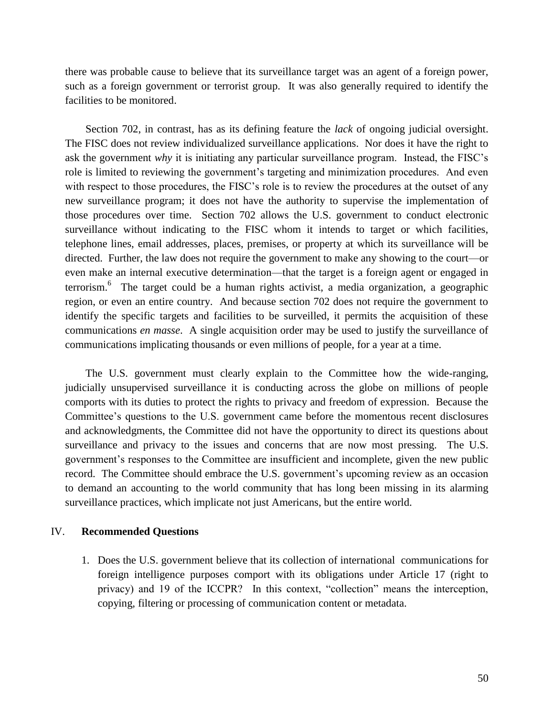there was probable cause to believe that its surveillance target was an agent of a foreign power, such as a foreign government or terrorist group. It was also generally required to identify the facilities to be monitored.

Section 702, in contrast, has as its defining feature the *lack* of ongoing judicial oversight. The FISC does not review individualized surveillance applications. Nor does it have the right to ask the government *why* it is initiating any particular surveillance program. Instead, the FISC's role is limited to reviewing the government's targeting and minimization procedures. And even with respect to those procedures, the FISC's role is to review the procedures at the outset of any new surveillance program; it does not have the authority to supervise the implementation of those procedures over time. Section 702 allows the U.S. government to conduct electronic surveillance without indicating to the FISC whom it intends to target or which facilities, telephone lines, email addresses, places, premises, or property at which its surveillance will be directed. Further, the law does not require the government to make any showing to the court—or even make an internal executive determination—that the target is a foreign agent or engaged in terrorism.<sup>6</sup> The target could be a human rights activist, a media organization, a geographic region, or even an entire country. And because section 702 does not require the government to identify the specific targets and facilities to be surveilled, it permits the acquisition of these communications *en masse*. A single acquisition order may be used to justify the surveillance of communications implicating thousands or even millions of people, for a year at a time.

The U.S. government must clearly explain to the Committee how the wide-ranging, judicially unsupervised surveillance it is conducting across the globe on millions of people comports with its duties to protect the rights to privacy and freedom of expression. Because the Committee's questions to the U.S. government came before the momentous recent disclosures and acknowledgments, the Committee did not have the opportunity to direct its questions about surveillance and privacy to the issues and concerns that are now most pressing. The U.S. government's responses to the Committee are insufficient and incomplete, given the new public record. The Committee should embrace the U.S. government's upcoming review as an occasion to demand an accounting to the world community that has long been missing in its alarming surveillance practices, which implicate not just Americans, but the entire world.

#### IV. **Recommended Questions**

1. Does the U.S. government believe that its collection of international communications for foreign intelligence purposes comport with its obligations under Article 17 (right to privacy) and 19 of the ICCPR? In this context, "collection" means the interception, copying, filtering or processing of communication content or metadata.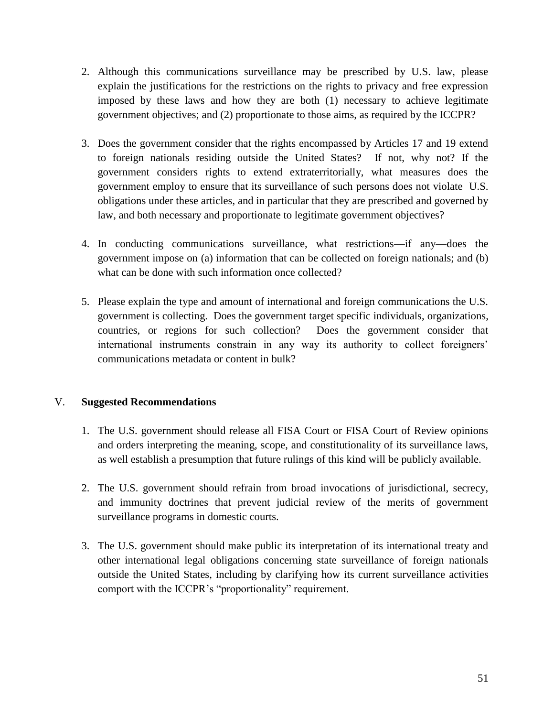- 2. Although this communications surveillance may be prescribed by U.S. law, please explain the justifications for the restrictions on the rights to privacy and free expression imposed by these laws and how they are both (1) necessary to achieve legitimate government objectives; and (2) proportionate to those aims, as required by the ICCPR?
- 3. Does the government consider that the rights encompassed by Articles 17 and 19 extend to foreign nationals residing outside the United States? If not, why not? If the government considers rights to extend extraterritorially, what measures does the government employ to ensure that its surveillance of such persons does not violate U.S. obligations under these articles, and in particular that they are prescribed and governed by law, and both necessary and proportionate to legitimate government objectives?
- 4. In conducting communications surveillance, what restrictions—if any—does the government impose on (a) information that can be collected on foreign nationals; and (b) what can be done with such information once collected?
- 5. Please explain the type and amount of international and foreign communications the U.S. government is collecting. Does the government target specific individuals, organizations, countries, or regions for such collection? Does the government consider that international instruments constrain in any way its authority to collect foreigners' communications metadata or content in bulk?

# V. **Suggested Recommendations**

- 1. The U.S. government should release all FISA Court or FISA Court of Review opinions and orders interpreting the meaning, scope, and constitutionality of its surveillance laws, as well establish a presumption that future rulings of this kind will be publicly available.
- 2. The U.S. government should refrain from broad invocations of jurisdictional, secrecy, and immunity doctrines that prevent judicial review of the merits of government surveillance programs in domestic courts.
- 3. The U.S. government should make public its interpretation of its international treaty and other international legal obligations concerning state surveillance of foreign nationals outside the United States, including by clarifying how its current surveillance activities comport with the ICCPR's "proportionality" requirement.